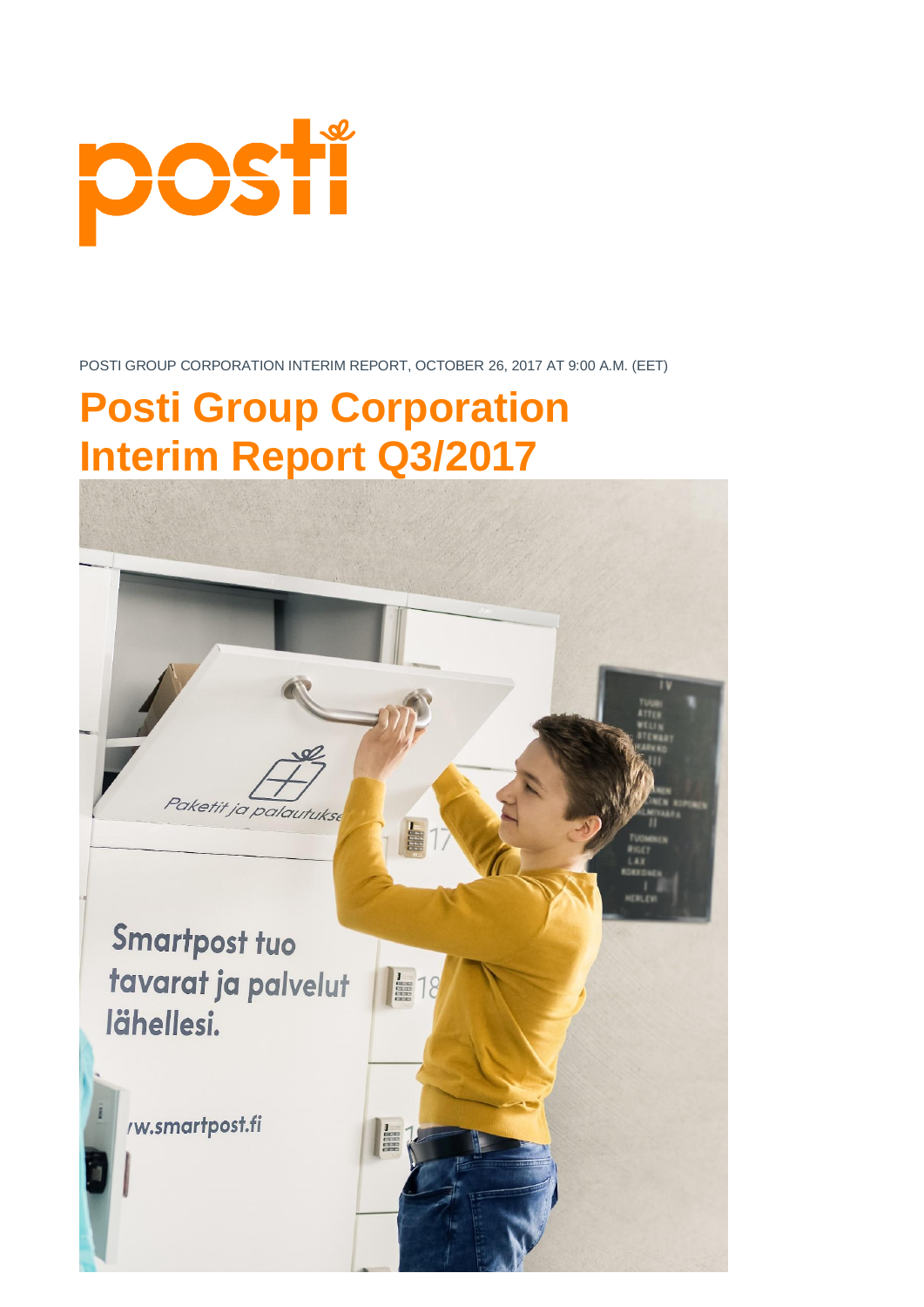

# **Posti Group Corporation Interim Report Q3/2017**

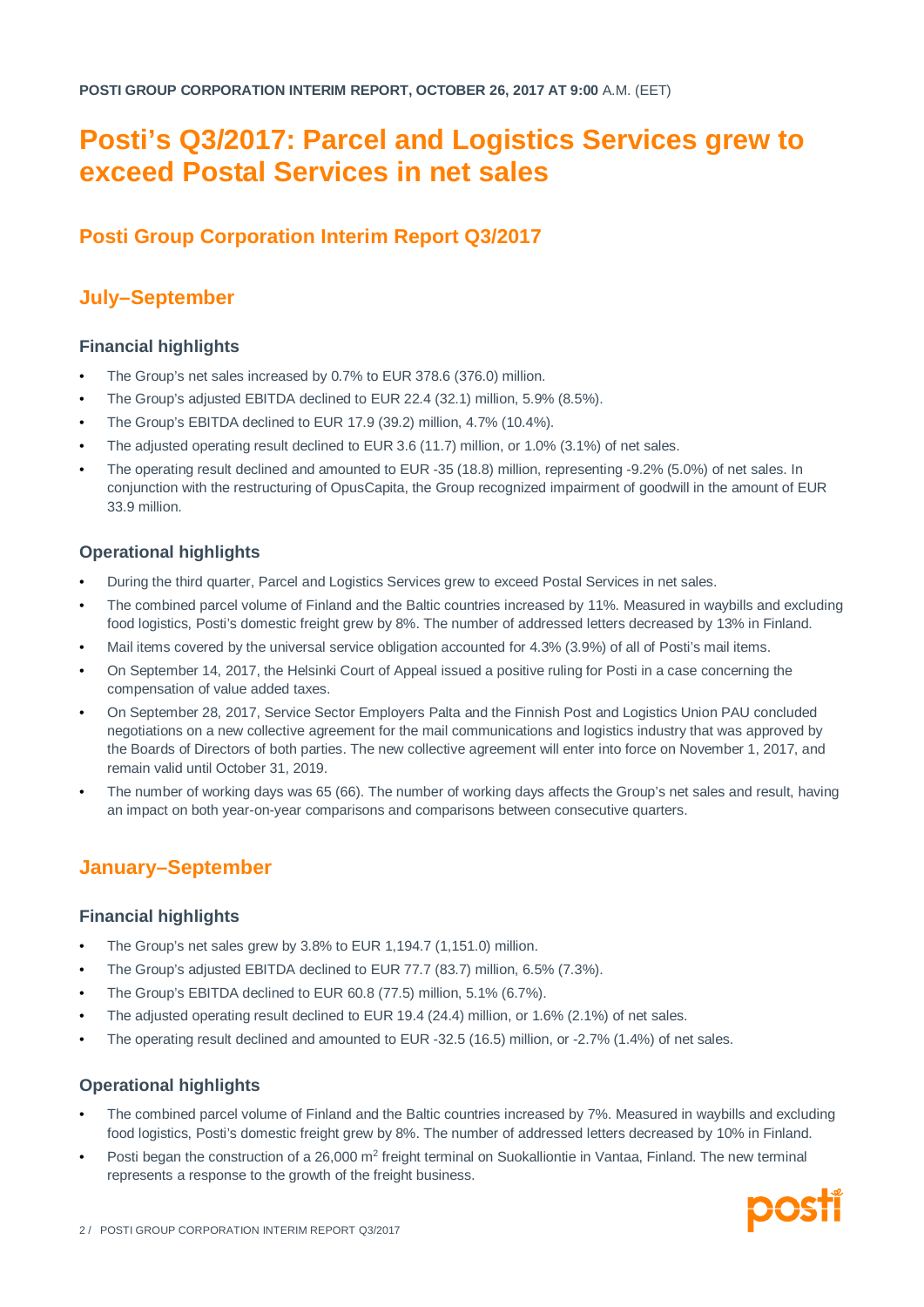# **Posti's Q3/2017: Parcel and Logistics Services grew to exceed Postal Services in net sales**

# **Posti Group Corporation Interim Report Q3/2017**

# **July–September**

# **Financial highlights**

- The Group's net sales increased by 0.7% to EUR 378.6 (376.0) million.
- The Group's adjusted EBITDA declined to EUR 22.4 (32.1) million, 5.9% (8.5%).
- The Group's EBITDA declined to EUR 17.9 (39.2) million, 4.7% (10.4%).
- The adjusted operating result declined to EUR 3.6 (11.7) million, or 1.0% (3.1%) of net sales.
- The operating result declined and amounted to EUR -35 (18.8) million, representing -9.2% (5.0%) of net sales. In conjunction with the restructuring of OpusCapita, the Group recognized impairment of goodwill in the amount of EUR 33.9 million.

# **Operational highlights**

- During the third quarter, Parcel and Logistics Services grew to exceed Postal Services in net sales.
- The combined parcel volume of Finland and the Baltic countries increased by 11%. Measured in waybills and excluding food logistics. Posti's domestic freight grew by 8%. The number of addressed letters decreased by 13% in Finland.
- Mail items covered by the universal service obligation accounted for 4.3% (3.9%) of all of Posti's mail items.
- On September 14, 2017, the Helsinki Court of Appeal issued a positive ruling for Posti in a case concerning the compensation of value added taxes.
- On September 28, 2017, Service Sector Employers Palta and the Finnish Post and Logistics Union PAU concluded negotiations on a new collective agreement for the mail communications and logistics industry that was approved by the Boards of Directors of both parties. The new collective agreement will enter into force on November 1, 2017, and remain valid until October 31, 2019.
- The number of working days was 65 (66). The number of working days affects the Group's net sales and result, having an impact on both year-on-year comparisons and comparisons between consecutive quarters.

# **January–September**

# **Financial highlights**

- The Group's net sales grew by 3.8% to EUR 1,194.7 (1,151.0) million.
- The Group's adjusted EBITDA declined to EUR 77.7 (83.7) million, 6.5% (7.3%).
- The Group's EBITDA declined to EUR 60.8 (77.5) million, 5.1% (6.7%).
- The adjusted operating result declined to EUR 19.4 (24.4) million, or 1.6% (2.1%) of net sales.
- The operating result declined and amounted to EUR -32.5 (16.5) million, or -2.7% (1.4%) of net sales.

# **Operational highlights**

- The combined parcel volume of Finland and the Baltic countries increased by 7%. Measured in waybills and excluding food logistics, Posti's domestic freight grew by 8%. The number of addressed letters decreased by 10% in Finland.
- Posti began the construction of a 26,000 m<sup>2</sup> freight terminal on Suokalliontie in Vantaa, Finland. The new terminal represents a response to the growth of the freight business.

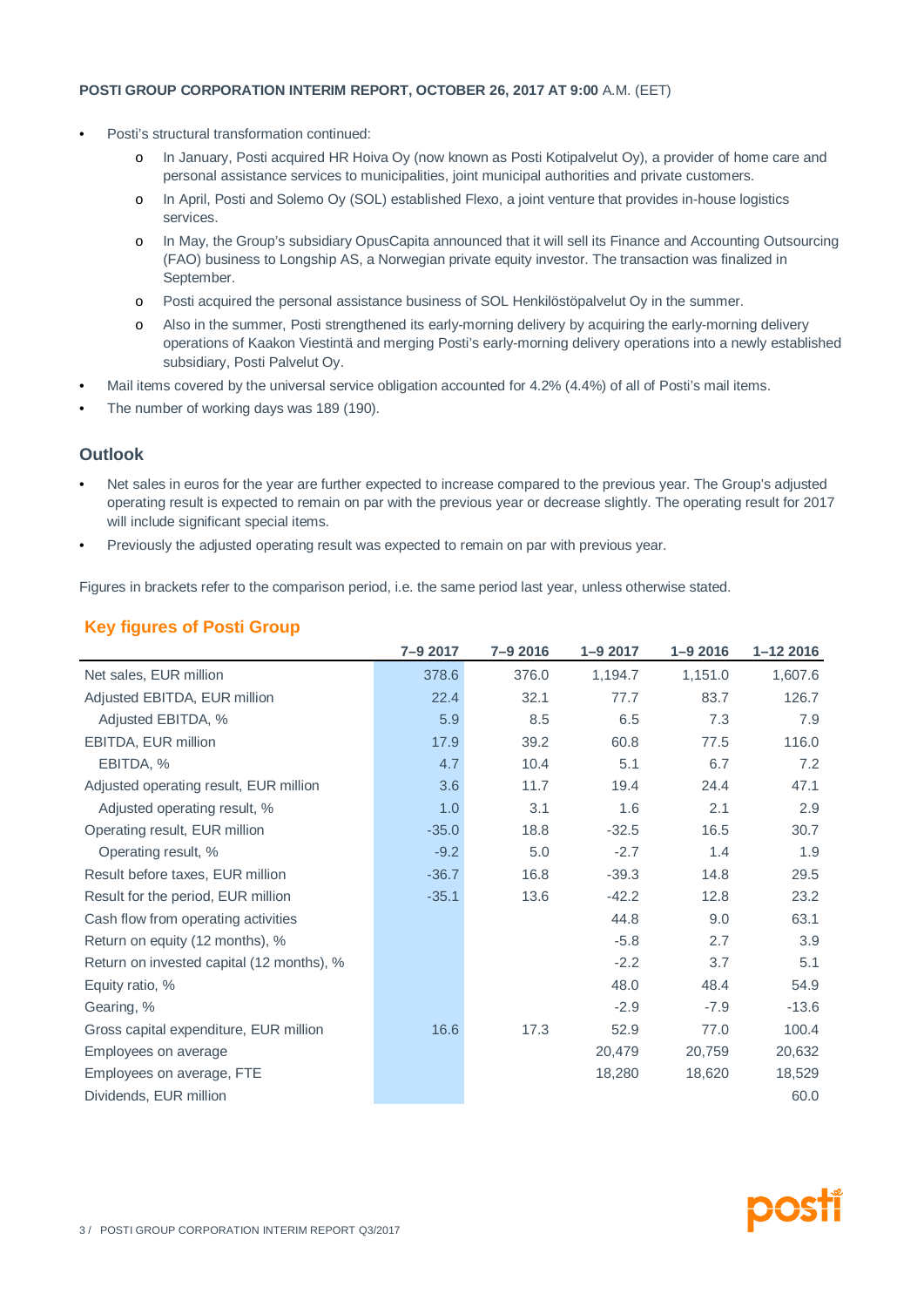- Posti's structural transformation continued:
	- o In January, Posti acquired HR Hoiva Oy (now known as Posti Kotipalvelut Oy), a provider of home care and personal assistance services to municipalities, joint municipal authorities and private customers.
	- o In April, Posti and Solemo Oy (SOL) established Flexo, a joint venture that provides in-house logistics services.
	- o In May, the Group's subsidiary OpusCapita announced that it will sell its Finance and Accounting Outsourcing (FAO) business to Longship AS, a Norwegian private equity investor. The transaction was finalized in September.
	- o Posti acquired the personal assistance business of SOL Henkilöstöpalvelut Oy in the summer.
	- o Also in the summer, Posti strengthened its early-morning delivery by acquiring the early-morning delivery operations of Kaakon Viestintä and merging Posti's early-morning delivery operations into a newly established subsidiary, Posti Palvelut Oy.
- Mail items covered by the universal service obligation accounted for 4.2% (4.4%) of all of Posti's mail items.
- The number of working days was 189 (190).

# **Outlook**

- Net sales in euros for the year are further expected to increase compared to the previous year. The Group's adjusted operating result is expected to remain on par with the previous year or decrease slightly. The operating result for 2017 will include significant special items.
- Previously the adjusted operating result was expected to remain on par with previous year.

Figures in brackets refer to the comparison period, i.e. the same period last year, unless otherwise stated.

|  | <b>Key figures of Posti Group</b> |
|--|-----------------------------------|
|  |                                   |

|                                           | 7-9 2017 | 7-9 2016 | $1 - 92017$ | $1 - 92016$ | $1 - 122016$ |
|-------------------------------------------|----------|----------|-------------|-------------|--------------|
| Net sales, EUR million                    | 378.6    | 376.0    | 1,194.7     | 1,151.0     | 1,607.6      |
| Adjusted EBITDA, EUR million              | 22.4     | 32.1     | 77.7        | 83.7        | 126.7        |
| Adjusted EBITDA, %                        | 5.9      | 8.5      | 6.5         | 7.3         | 7.9          |
| EBITDA, EUR million                       | 17.9     | 39.2     | 60.8        | 77.5        | 116.0        |
| EBITDA, %                                 | 4.7      | 10.4     | 5.1         | 6.7         | 7.2          |
| Adjusted operating result, EUR million    | 3.6      | 11.7     | 19.4        | 24.4        | 47.1         |
| Adjusted operating result, %              | 1.0      | 3.1      | 1.6         | 2.1         | 2.9          |
| Operating result, EUR million             | $-35.0$  | 18.8     | $-32.5$     | 16.5        | 30.7         |
| Operating result, %                       | $-9.2$   | 5.0      | $-2.7$      | 1.4         | 1.9          |
| Result before taxes, EUR million          | $-36.7$  | 16.8     | $-39.3$     | 14.8        | 29.5         |
| Result for the period, EUR million        | $-35.1$  | 13.6     | $-42.2$     | 12.8        | 23.2         |
| Cash flow from operating activities       |          |          | 44.8        | 9.0         | 63.1         |
| Return on equity (12 months), %           |          |          | $-5.8$      | 2.7         | 3.9          |
| Return on invested capital (12 months), % |          |          | $-2.2$      | 3.7         | 5.1          |
| Equity ratio, %                           |          |          | 48.0        | 48.4        | 54.9         |
| Gearing, %                                |          |          | $-2.9$      | $-7.9$      | $-13.6$      |
| Gross capital expenditure, EUR million    | 16.6     | 17.3     | 52.9        | 77.0        | 100.4        |
| Employees on average                      |          |          | 20,479      | 20,759      | 20,632       |
| Employees on average, FTE                 |          |          | 18,280      | 18,620      | 18,529       |
| Dividends, EUR million                    |          |          |             |             | 60.0         |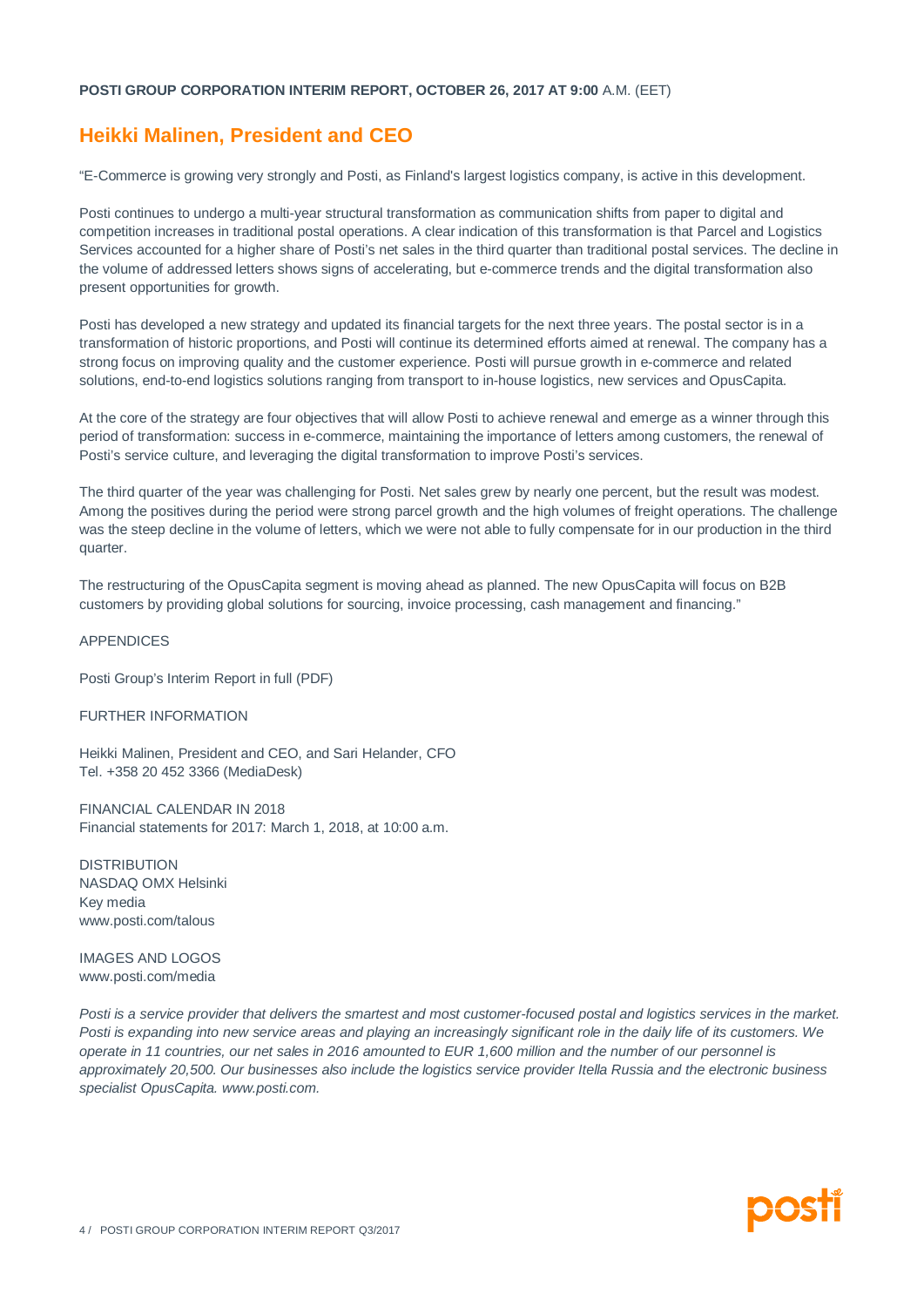# **Heikki Malinen, President and CEO**

"E-Commerce is growing very strongly and Posti, as Finland's largest logistics company, is active in this development.

Posti continues to undergo a multi-year structural transformation as communication shifts from paper to digital and competition increases in traditional postal operations. A clear indication of this transformation is that Parcel and Logistics Services accounted for a higher share of Posti's net sales in the third quarter than traditional postal services. The decline in the volume of addressed letters shows signs of accelerating, but e-commerce trends and the digital transformation also present opportunities for growth.

Posti has developed a new strategy and updated its financial targets for the next three years. The postal sector is in a transformation of historic proportions, and Posti will continue its determined efforts aimed at renewal. The company has a strong focus on improving quality and the customer experience. Posti will pursue growth in e-commerce and related solutions, end-to-end logistics solutions ranging from transport to in-house logistics, new services and OpusCapita.

At the core of the strategy are four objectives that will allow Posti to achieve renewal and emerge as a winner through this period of transformation: success in e-commerce, maintaining the importance of letters among customers, the renewal of Posti's service culture, and leveraging the digital transformation to improve Posti's services.

The third quarter of the year was challenging for Posti. Net sales grew by nearly one percent, but the result was modest. Among the positives during the period were strong parcel growth and the high volumes of freight operations. The challenge was the steep decline in the volume of letters, which we were not able to fully compensate for in our production in the third quarter.

The restructuring of the OpusCapita segment is moving ahead as planned. The new OpusCapita will focus on B2B customers by providing global solutions for sourcing, invoice processing, cash management and financing."

#### APPENDICES

Posti Group's Interim Report in full (PDF)

#### FURTHER INFORMATION

Heikki Malinen, President and CEO, and Sari Helander, CFO Tel. +358 20 452 3366 (MediaDesk)

FINANCIAL CALENDAR IN 2018 Financial statements for 2017: March 1, 2018, at 10:00 a.m.

DISTRIBUTION NASDAQ OMX Helsinki Key media www.posti.com/talous

IMAGES AND LOGOS www.posti.com/media

*Posti is a service provider that delivers the smartest and most customer-focused postal and logistics services in the market. Posti is expanding into new service areas and playing an increasingly significant role in the daily life of its customers. We operate in 11 countries, our net sales in 2016 amounted to EUR 1,600 million and the number of our personnel is approximately 20,500. Our businesses also include the logistics service provider Itella Russia and the electronic business specialist OpusCapita. www.posti.com.*

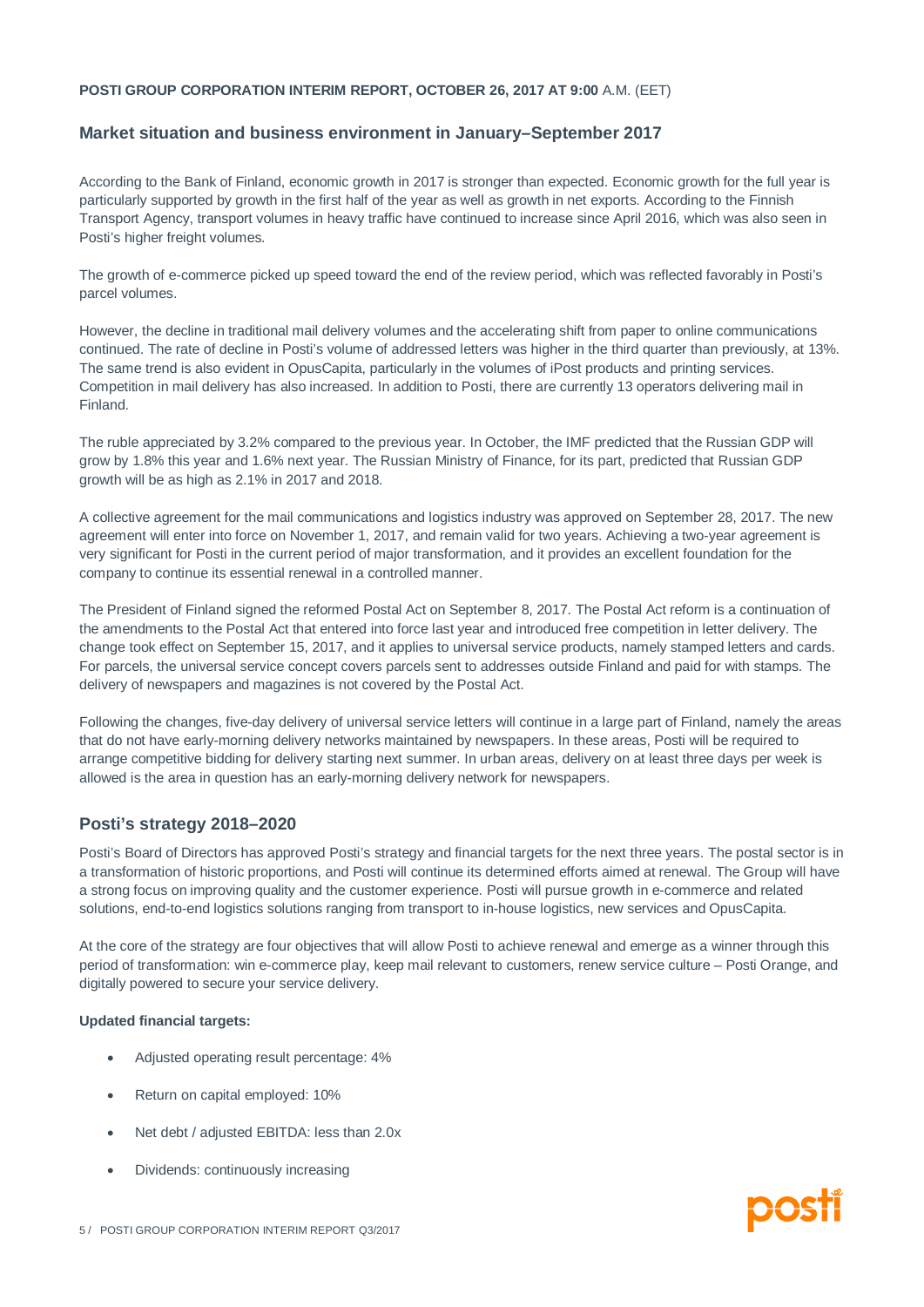### **Market situation and business environment in January–September 2017**

According to the Bank of Finland, economic growth in 2017 is stronger than expected. Economic growth for the full year is particularly supported by growth in the first half of the year as well as growth in net exports. According to the Finnish Transport Agency, transport volumes in heavy traffic have continued to increase since April 2016, which was also seen in Posti's higher freight volumes.

The growth of e-commerce picked up speed toward the end of the review period, which was reflected favorably in Posti's parcel volumes.

However, the decline in traditional mail delivery volumes and the accelerating shift from paper to online communications continued. The rate of decline in Posti's volume of addressed letters was higher in the third quarter than previously, at 13%. The same trend is also evident in OpusCapita, particularly in the volumes of iPost products and printing services. Competition in mail delivery has also increased. In addition to Posti, there are currently 13 operators delivering mail in Finland.

The ruble appreciated by 3.2% compared to the previous year. In October, the IMF predicted that the Russian GDP will grow by 1.8% this year and 1.6% next year. The Russian Ministry of Finance, for its part, predicted that Russian GDP growth will be as high as 2.1% in 2017 and 2018.

A collective agreement for the mail communications and logistics industry was approved on September 28, 2017. The new agreement will enter into force on November 1, 2017, and remain valid for two years. Achieving a two-year agreement is very significant for Posti in the current period of major transformation, and it provides an excellent foundation for the company to continue its essential renewal in a controlled manner.

The President of Finland signed the reformed Postal Act on September 8, 2017. The Postal Act reform is a continuation of the amendments to the Postal Act that entered into force last year and introduced free competition in letter delivery. The change took effect on September 15, 2017, and it applies to universal service products, namely stamped letters and cards. For parcels, the universal service concept covers parcels sent to addresses outside Finland and paid for with stamps. The delivery of newspapers and magazines is not covered by the Postal Act.

Following the changes, five-day delivery of universal service letters will continue in a large part of Finland, namely the areas that do not have early-morning delivery networks maintained by newspapers. In these areas, Posti will be required to arrange competitive bidding for delivery starting next summer. In urban areas, delivery on at least three days per week is allowed is the area in question has an early-morning delivery network for newspapers.

# **Posti's strategy 2018–2020**

Posti's Board of Directors has approved Posti's strategy and financial targets for the next three years. The postal sector is in a transformation of historic proportions, and Posti will continue its determined efforts aimed at renewal. The Group will have a strong focus on improving quality and the customer experience. Posti will pursue growth in e-commerce and related solutions, end-to-end logistics solutions ranging from transport to in-house logistics, new services and OpusCapita.

At the core of the strategy are four objectives that will allow Posti to achieve renewal and emerge as a winner through this period of transformation: win e-commerce play, keep mail relevant to customers, renew service culture – Posti Orange, and digitally powered to secure your service delivery.

#### **Updated financial targets:**

- · Adjusted operating result percentage: 4%
- Return on capital employed: 10%
- Net debt / adjusted EBITDA: less than 2.0x
- · Dividends: continuously increasing

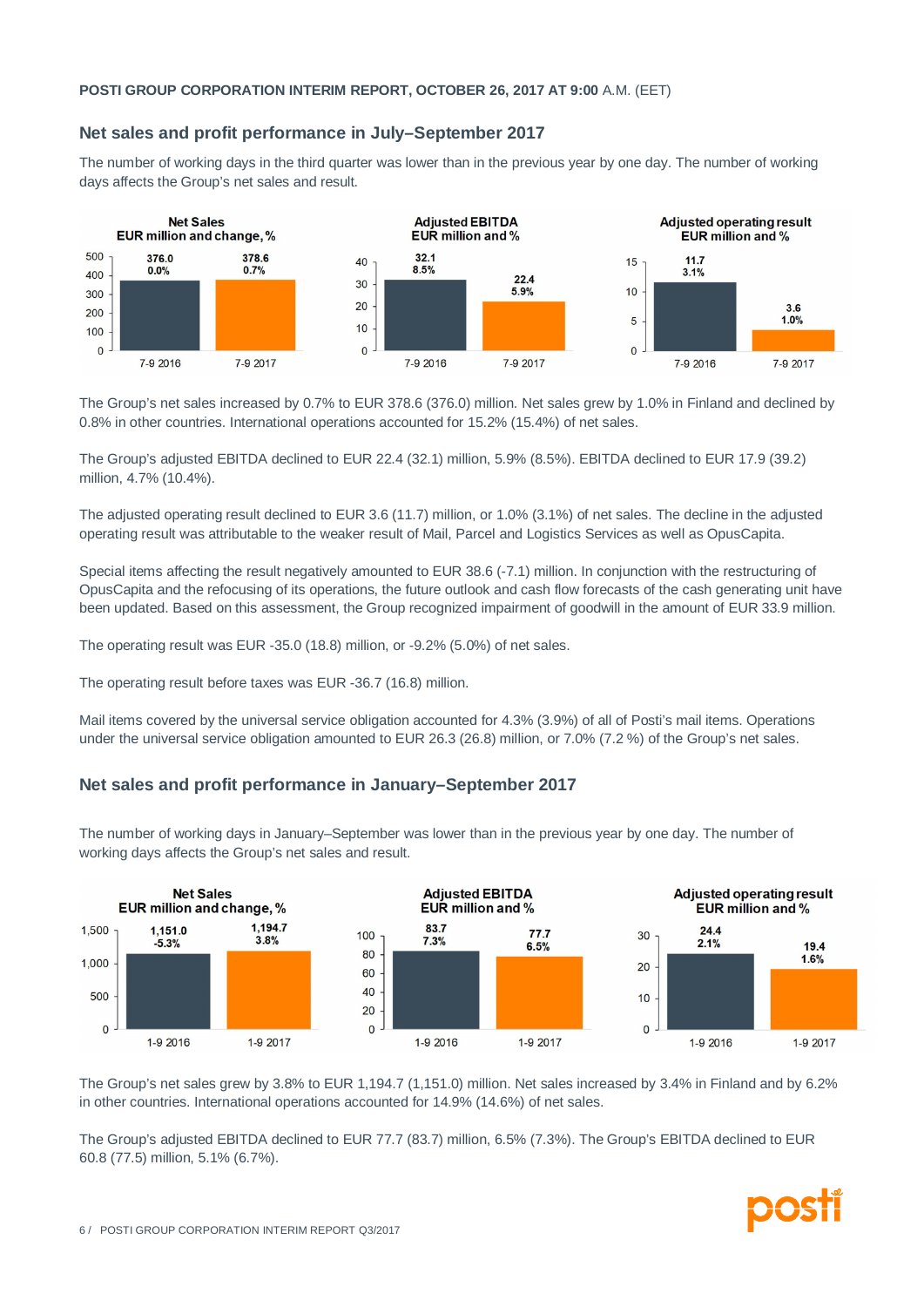# **Net sales and profit performance in July–September 2017**

The number of working days in the third quarter was lower than in the previous year by one day. The number of working days affects the Group's net sales and result.



The Group's net sales increased by 0.7% to EUR 378.6 (376.0) million. Net sales grew by 1.0% in Finland and declined by 0.8% in other countries. International operations accounted for 15.2% (15.4%) of net sales.

The Group's adjusted EBITDA declined to EUR 22.4 (32.1) million, 5.9% (8.5%). EBITDA declined to EUR 17.9 (39.2) million, 4.7% (10.4%).

The adjusted operating result declined to EUR 3.6 (11.7) million, or 1.0% (3.1%) of net sales. The decline in the adjusted operating result was attributable to the weaker result of Mail, Parcel and Logistics Services as well as OpusCapita.

Special items affecting the result negatively amounted to EUR 38.6 (-7.1) million. In conjunction with the restructuring of OpusCapita and the refocusing of its operations, the future outlook and cash flow forecasts of the cash generating unit have been updated. Based on this assessment, the Group recognized impairment of goodwill in the amount of EUR 33.9 million.

The operating result was EUR -35.0 (18.8) million, or -9.2% (5.0%) of net sales.

The operating result before taxes was EUR -36.7 (16.8) million.

Mail items covered by the universal service obligation accounted for 4.3% (3.9%) of all of Posti's mail items. Operations under the universal service obligation amounted to EUR 26.3 (26.8) million, or 7.0% (7.2 %) of the Group's net sales.

# **Net sales and profit performance in January–September 2017**

The number of working days in January–September was lower than in the previous year by one day. The number of working days affects the Group's net sales and result.



The Group's net sales grew by 3.8% to EUR 1,194.7 (1,151.0) million. Net sales increased by 3.4% in Finland and by 6.2% in other countries. International operations accounted for 14.9% (14.6%) of net sales.

The Group's adjusted EBITDA declined to EUR 77.7 (83.7) million, 6.5% (7.3%). The Group's EBITDA declined to EUR 60.8 (77.5) million, 5.1% (6.7%).

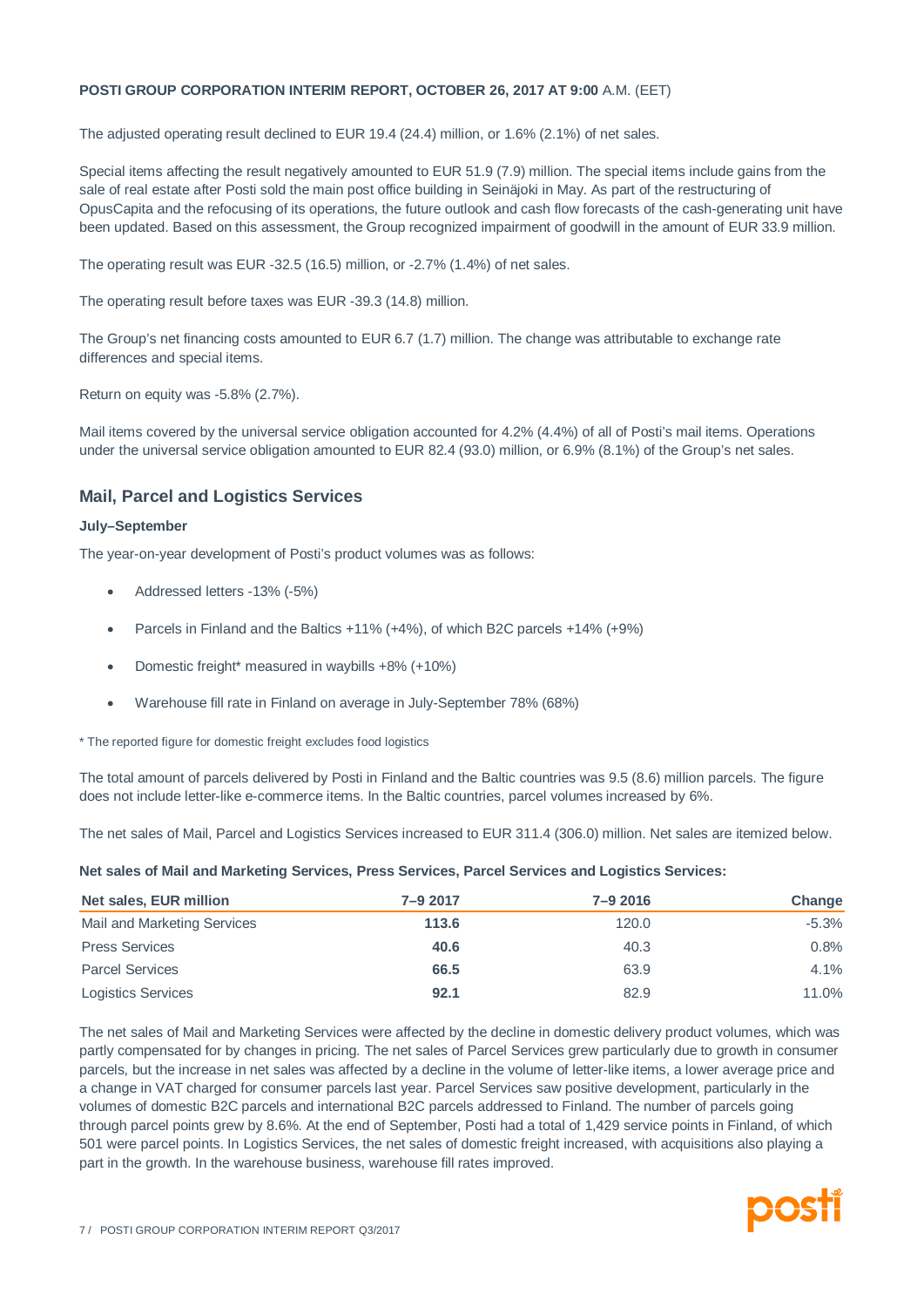The adjusted operating result declined to EUR 19.4 (24.4) million, or 1.6% (2.1%) of net sales.

Special items affecting the result negatively amounted to EUR 51.9 (7.9) million. The special items include gains from the sale of real estate after Posti sold the main post office building in Seinäjoki in May. As part of the restructuring of OpusCapita and the refocusing of its operations, the future outlook and cash flow forecasts of the cash-generating unit have been updated. Based on this assessment, the Group recognized impairment of goodwill in the amount of EUR 33.9 million.

The operating result was EUR -32.5 (16.5) million, or -2.7% (1.4%) of net sales.

The operating result before taxes was EUR -39.3 (14.8) million.

The Group's net financing costs amounted to EUR 6.7 (1.7) million. The change was attributable to exchange rate differences and special items.

Return on equity was -5.8% (2.7%).

Mail items covered by the universal service obligation accounted for 4.2% (4.4%) of all of Posti's mail items. Operations under the universal service obligation amounted to EUR 82.4 (93.0) million, or 6.9% (8.1%) of the Group's net sales.

# **Mail, Parcel and Logistics Services**

#### **July–September**

The year-on-year development of Posti's product volumes was as follows:

- Addressed letters -13% (-5%)
- · Parcels in Finland and the Baltics +11% (+4%), of which B2C parcels +14% (+9%)
- · Domestic freight\* measured in waybills +8% (+10%)
- · Warehouse fill rate in Finland on average in July-September 78% (68%)

\* The reported figure for domestic freight excludes food logistics

The total amount of parcels delivered by Posti in Finland and the Baltic countries was 9.5 (8.6) million parcels. The figure does not include letter-like e-commerce items. In the Baltic countries, parcel volumes increased by 6%.

The net sales of Mail, Parcel and Logistics Services increased to EUR 311.4 (306.0) million. Net sales are itemized below.

**Net sales of Mail and Marketing Services, Press Services, Parcel Services and Logistics Services:**

| Net sales, EUR million      | 7-9 2017 | $7 - 92016$ | Change   |
|-----------------------------|----------|-------------|----------|
| Mail and Marketing Services | 113.6    | 120.0       | $-5.3\%$ |
| <b>Press Services</b>       | 40.6     | 40.3        | 0.8%     |
| <b>Parcel Services</b>      | 66.5     | 63.9        | 4.1%     |
| <b>Logistics Services</b>   | 92.1     | 82.9        | 11.0%    |

The net sales of Mail and Marketing Services were affected by the decline in domestic delivery product volumes, which was partly compensated for by changes in pricing. The net sales of Parcel Services grew particularly due to growth in consumer parcels, but the increase in net sales was affected by a decline in the volume of letter-like items, a lower average price and a change in VAT charged for consumer parcels last year. Parcel Services saw positive development, particularly in the volumes of domestic B2C parcels and international B2C parcels addressed to Finland. The number of parcels going through parcel points grew by 8.6%. At the end of September, Posti had a total of 1,429 service points in Finland, of which 501 were parcel points. In Logistics Services, the net sales of domestic freight increased, with acquisitions also playing a part in the growth. In the warehouse business, warehouse fill rates improved.

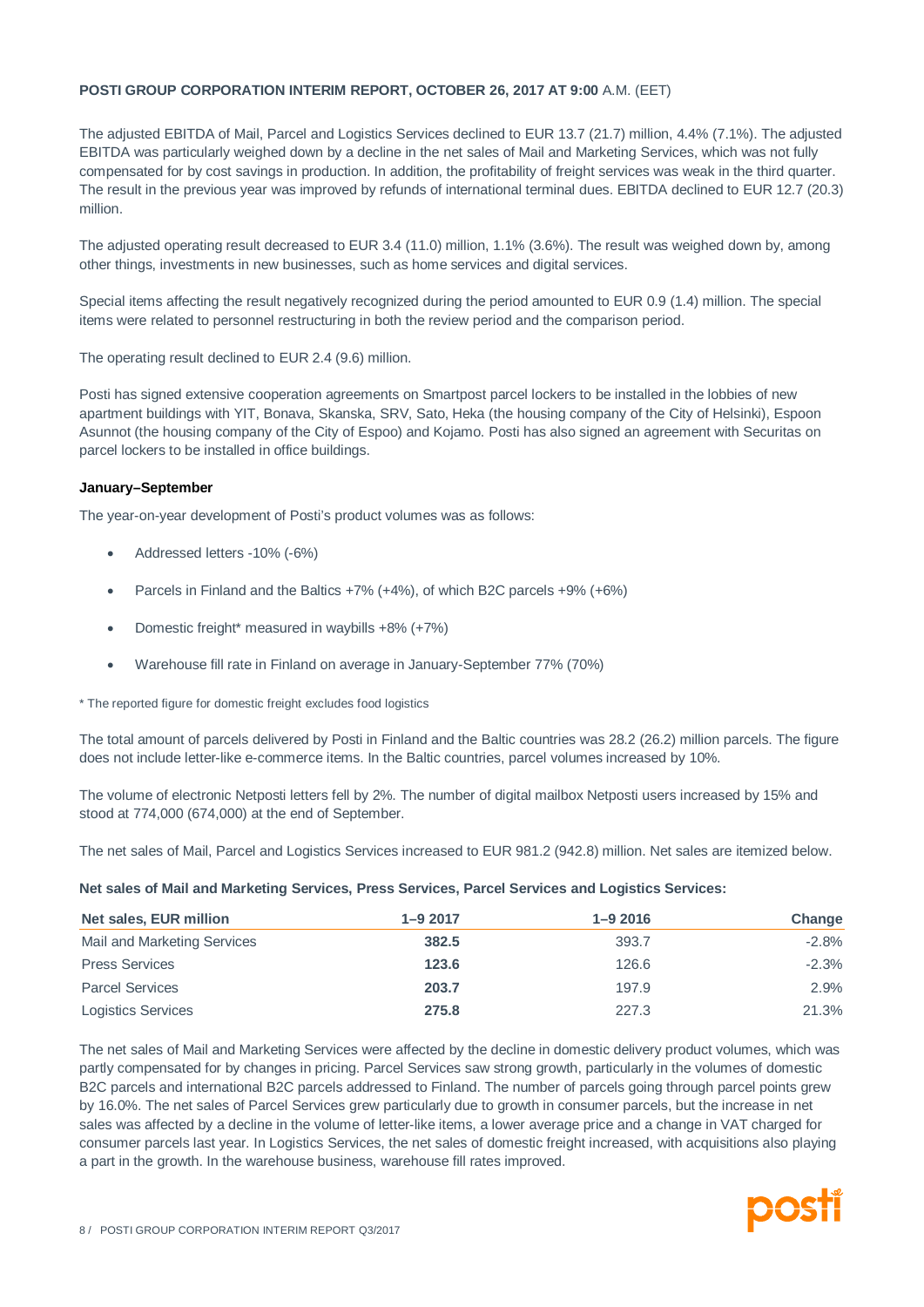The adjusted EBITDA of Mail, Parcel and Logistics Services declined to EUR 13.7 (21.7) million, 4.4% (7.1%). The adjusted EBITDA was particularly weighed down by a decline in the net sales of Mail and Marketing Services, which was not fully compensated for by cost savings in production. In addition, the profitability of freight services was weak in the third quarter. The result in the previous year was improved by refunds of international terminal dues. EBITDA declined to EUR 12.7 (20.3) million.

The adjusted operating result decreased to EUR 3.4 (11.0) million, 1.1% (3.6%). The result was weighed down by, among other things, investments in new businesses, such as home services and digital services.

Special items affecting the result negatively recognized during the period amounted to EUR 0.9 (1.4) million. The special items were related to personnel restructuring in both the review period and the comparison period.

The operating result declined to EUR 2.4 (9.6) million.

Posti has signed extensive cooperation agreements on Smartpost parcel lockers to be installed in the lobbies of new apartment buildings with YIT, Bonava, Skanska, SRV, Sato, Heka (the housing company of the City of Helsinki), Espoon Asunnot (the housing company of the City of Espoo) and Kojamo. Posti has also signed an agreement with Securitas on parcel lockers to be installed in office buildings.

#### **January–September**

The year-on-year development of Posti's product volumes was as follows:

- Addressed letters -10% (-6%)
- Parcels in Finland and the Baltics +7% (+4%), of which B2C parcels +9% (+6%)
- · Domestic freight\* measured in waybills +8% (+7%)
- · Warehouse fill rate in Finland on average in January-September 77% (70%)

\* The reported figure for domestic freight excludes food logistics

The total amount of parcels delivered by Posti in Finland and the Baltic countries was 28.2 (26.2) million parcels. The figure does not include letter-like e-commerce items. In the Baltic countries, parcel volumes increased by 10%.

The volume of electronic Netposti letters fell by 2%. The number of digital mailbox Netposti users increased by 15% and stood at 774,000 (674,000) at the end of September.

The net sales of Mail, Parcel and Logistics Services increased to EUR 981.2 (942.8) million. Net sales are itemized below.

**Net sales of Mail and Marketing Services, Press Services, Parcel Services and Logistics Services:**

| Net sales, EUR million      | $1 - 92017$ | $1 - 92016$ | Change   |
|-----------------------------|-------------|-------------|----------|
| Mail and Marketing Services | 382.5       | 393.7       | $-2.8\%$ |
| <b>Press Services</b>       | 123.6       | 126.6       | $-2.3%$  |
| <b>Parcel Services</b>      | 203.7       | 197.9       | 2.9%     |
| <b>Logistics Services</b>   | 275.8       | 227.3       | 21.3%    |

The net sales of Mail and Marketing Services were affected by the decline in domestic delivery product volumes, which was partly compensated for by changes in pricing. Parcel Services saw strong growth, particularly in the volumes of domestic B2C parcels and international B2C parcels addressed to Finland. The number of parcels going through parcel points grew by 16.0%. The net sales of Parcel Services grew particularly due to growth in consumer parcels, but the increase in net sales was affected by a decline in the volume of letter-like items, a lower average price and a change in VAT charged for consumer parcels last year. In Logistics Services, the net sales of domestic freight increased, with acquisitions also playing a part in the growth. In the warehouse business, warehouse fill rates improved.

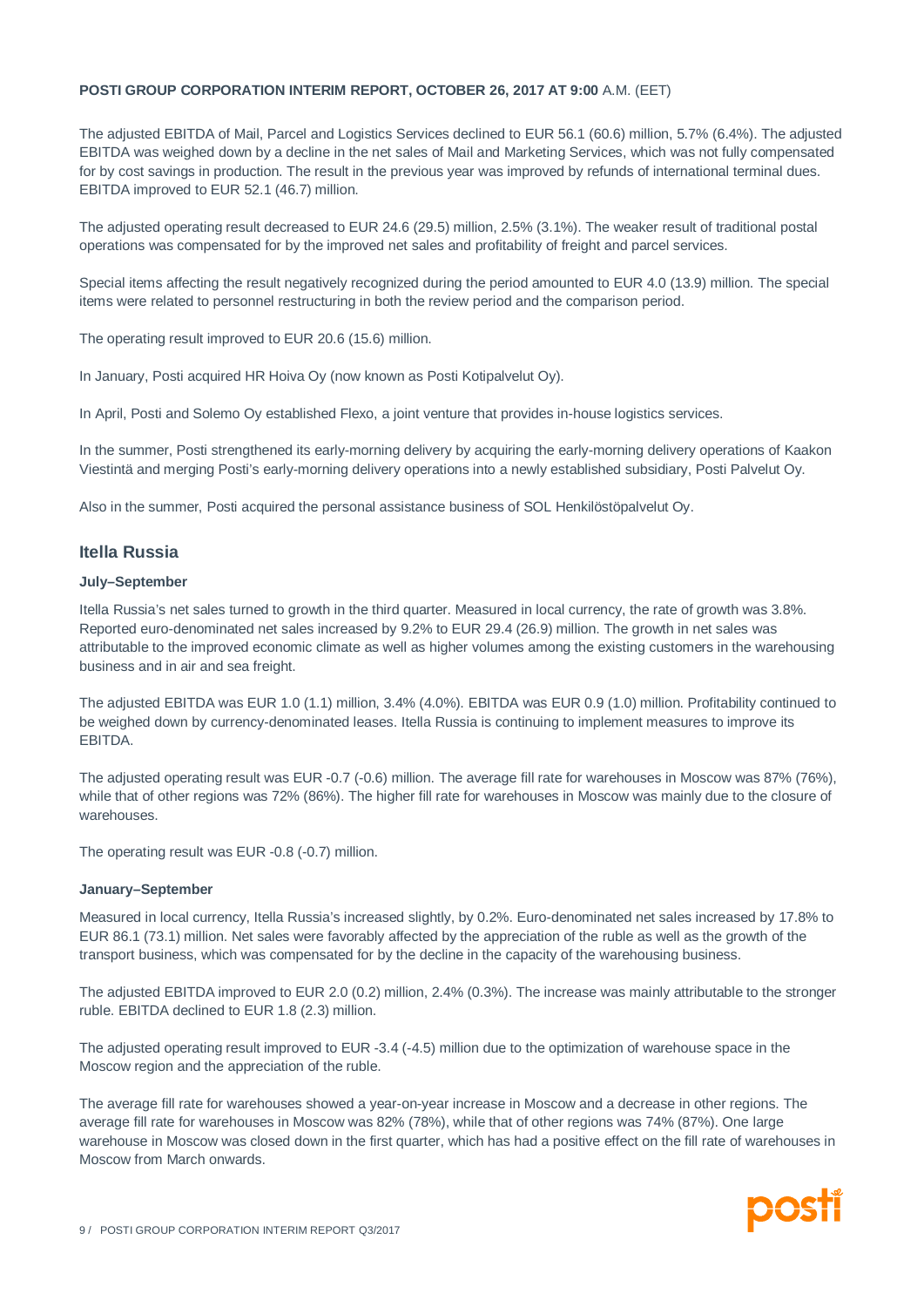The adjusted EBITDA of Mail, Parcel and Logistics Services declined to EUR 56.1 (60.6) million, 5.7% (6.4%). The adjusted EBITDA was weighed down by a decline in the net sales of Mail and Marketing Services, which was not fully compensated for by cost savings in production. The result in the previous year was improved by refunds of international terminal dues. EBITDA improved to EUR 52.1 (46.7) million.

The adjusted operating result decreased to EUR 24.6 (29.5) million, 2.5% (3.1%). The weaker result of traditional postal operations was compensated for by the improved net sales and profitability of freight and parcel services.

Special items affecting the result negatively recognized during the period amounted to EUR 4.0 (13.9) million. The special items were related to personnel restructuring in both the review period and the comparison period.

The operating result improved to EUR 20.6 (15.6) million.

In January, Posti acquired HR Hoiva Oy (now known as Posti Kotipalvelut Oy).

In April, Posti and Solemo Oy established Flexo, a joint venture that provides in-house logistics services.

In the summer, Posti strengthened its early-morning delivery by acquiring the early-morning delivery operations of Kaakon Viestintä and merging Posti's early-morning delivery operations into a newly established subsidiary, Posti Palvelut Oy.

Also in the summer, Posti acquired the personal assistance business of SOL Henkilöstöpalvelut Oy.

#### **Itella Russia**

#### **July–September**

Itella Russia's net sales turned to growth in the third quarter. Measured in local currency, the rate of growth was 3.8%. Reported euro-denominated net sales increased by 9.2% to EUR 29.4 (26.9) million. The growth in net sales was attributable to the improved economic climate as well as higher volumes among the existing customers in the warehousing business and in air and sea freight.

The adjusted EBITDA was EUR 1.0 (1.1) million, 3.4% (4.0%). EBITDA was EUR 0.9 (1.0) million. Profitability continued to be weighed down by currency-denominated leases. Itella Russia is continuing to implement measures to improve its EBITDA.

The adjusted operating result was EUR -0.7 (-0.6) million. The average fill rate for warehouses in Moscow was 87% (76%), while that of other regions was 72% (86%). The higher fill rate for warehouses in Moscow was mainly due to the closure of warehouses.

The operating result was EUR -0.8 (-0.7) million.

#### **January–September**

Measured in local currency, Itella Russia's increased slightly, by 0.2%. Euro-denominated net sales increased by 17.8% to EUR 86.1 (73.1) million. Net sales were favorably affected by the appreciation of the ruble as well as the growth of the transport business, which was compensated for by the decline in the capacity of the warehousing business.

The adjusted EBITDA improved to EUR 2.0 (0.2) million, 2.4% (0.3%). The increase was mainly attributable to the stronger ruble. EBITDA declined to EUR 1.8 (2.3) million.

The adjusted operating result improved to EUR -3.4 (-4.5) million due to the optimization of warehouse space in the Moscow region and the appreciation of the ruble.

The average fill rate for warehouses showed a year-on-year increase in Moscow and a decrease in other regions. The average fill rate for warehouses in Moscow was 82% (78%), while that of other regions was 74% (87%). One large warehouse in Moscow was closed down in the first quarter, which has had a positive effect on the fill rate of warehouses in Moscow from March onwards.

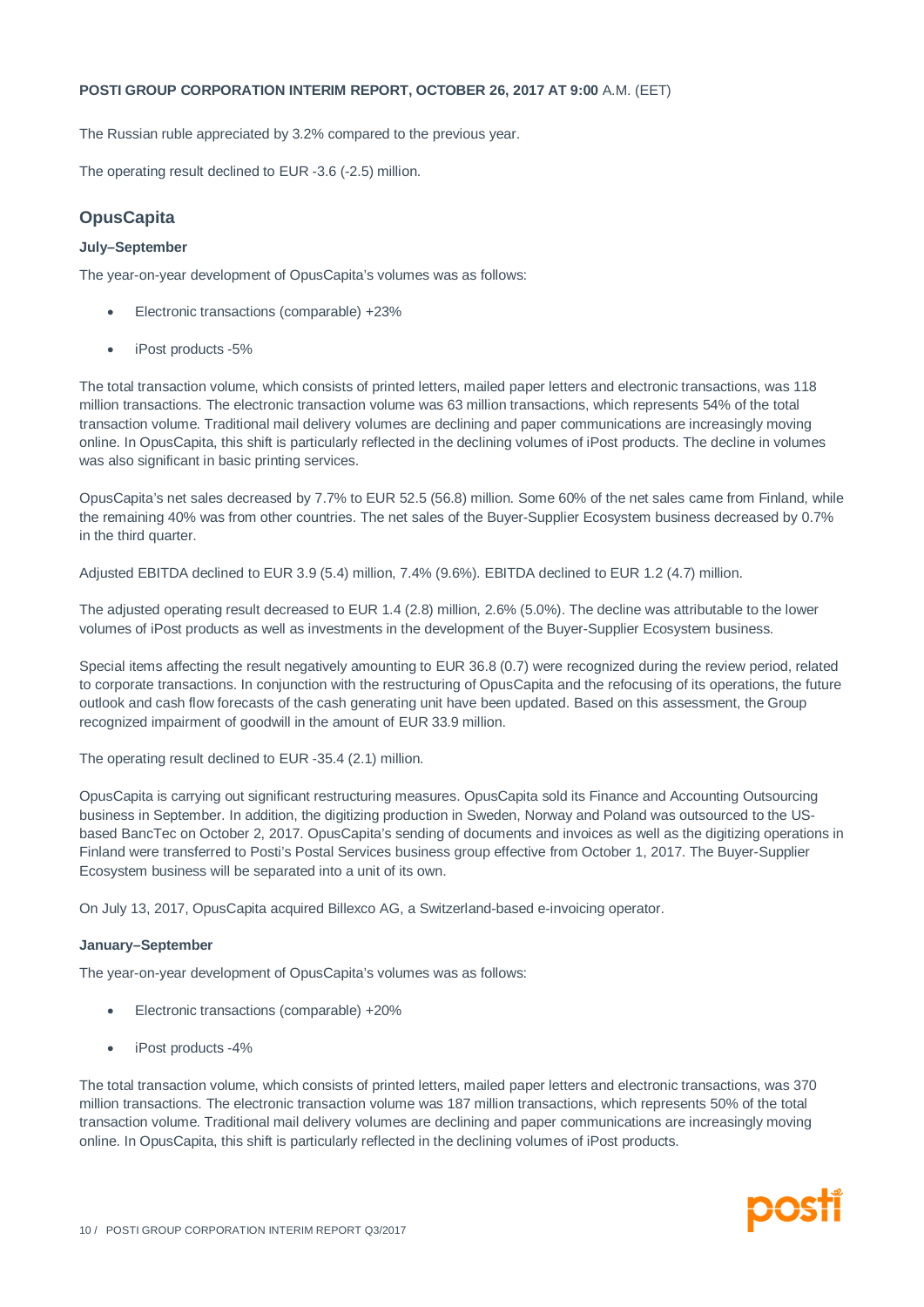The Russian ruble appreciated by 3.2% compared to the previous year.

The operating result declined to EUR -3.6 (-2.5) million.

# **OpusCapita**

#### **July–September**

The year-on-year development of OpusCapita's volumes was as follows:

- Electronic transactions (comparable) +23%
- · iPost products -5%

The total transaction volume, which consists of printed letters, mailed paper letters and electronic transactions, was 118 million transactions. The electronic transaction volume was 63 million transactions, which represents 54% of the total transaction volume. Traditional mail delivery volumes are declining and paper communications are increasingly moving online. In OpusCapita, this shift is particularly reflected in the declining volumes of iPost products. The decline in volumes was also significant in basic printing services.

OpusCapita's net sales decreased by 7.7% to EUR 52.5 (56.8) million. Some 60% of the net sales came from Finland, while the remaining 40% was from other countries. The net sales of the Buyer-Supplier Ecosystem business decreased by 0.7% in the third quarter.

Adjusted EBITDA declined to EUR 3.9 (5.4) million, 7.4% (9.6%). EBITDA declined to EUR 1.2 (4.7) million.

The adjusted operating result decreased to EUR 1.4 (2.8) million, 2.6% (5.0%). The decline was attributable to the lower volumes of iPost products as well as investments in the development of the Buyer-Supplier Ecosystem business.

Special items affecting the result negatively amounting to EUR 36.8 (0.7) were recognized during the review period, related to corporate transactions. In conjunction with the restructuring of OpusCapita and the refocusing of its operations, the future outlook and cash flow forecasts of the cash generating unit have been updated. Based on this assessment, the Group recognized impairment of goodwill in the amount of EUR 33.9 million.

The operating result declined to EUR -35.4 (2.1) million.

OpusCapita is carrying out significant restructuring measures. OpusCapita sold its Finance and Accounting Outsourcing business in September. In addition, the digitizing production in Sweden, Norway and Poland was outsourced to the USbased BancTec on October 2, 2017. OpusCapita's sending of documents and invoices as well as the digitizing operations in Finland were transferred to Posti's Postal Services business group effective from October 1, 2017. The Buyer-Supplier Ecosystem business will be separated into a unit of its own.

On July 13, 2017, OpusCapita acquired Billexco AG, a Switzerland-based e-invoicing operator.

#### **January–September**

The year-on-year development of OpusCapita's volumes was as follows:

- · Electronic transactions (comparable) +20%
- · iPost products -4%

The total transaction volume, which consists of printed letters, mailed paper letters and electronic transactions, was 370 million transactions. The electronic transaction volume was 187 million transactions, which represents 50% of the total transaction volume. Traditional mail delivery volumes are declining and paper communications are increasingly moving online. In OpusCapita, this shift is particularly reflected in the declining volumes of iPost products.

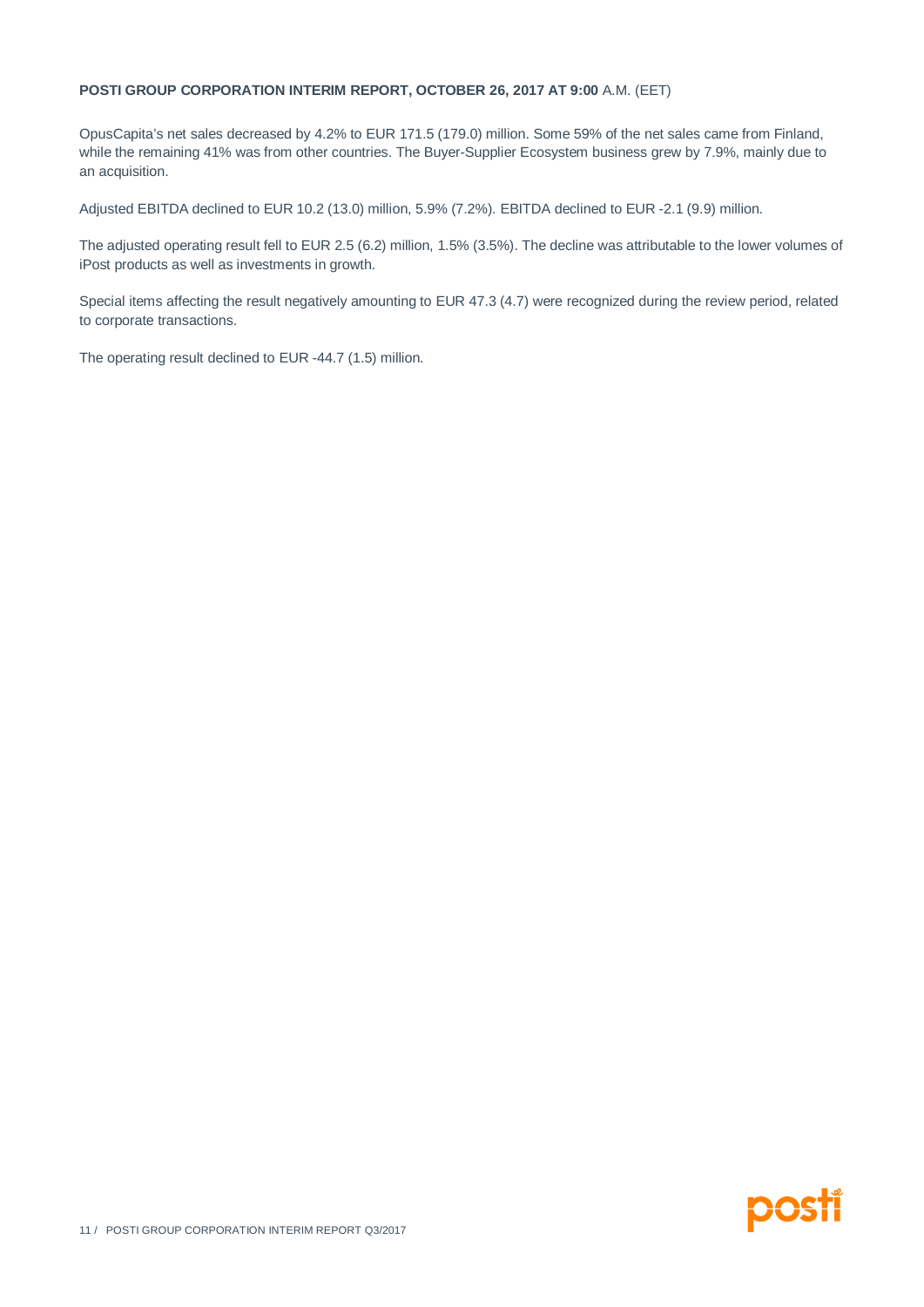OpusCapita's net sales decreased by 4.2% to EUR 171.5 (179.0) million. Some 59% of the net sales came from Finland, while the remaining 41% was from other countries. The Buyer-Supplier Ecosystem business grew by 7.9%, mainly due to an acquisition.

Adjusted EBITDA declined to EUR 10.2 (13.0) million, 5.9% (7.2%). EBITDA declined to EUR -2.1 (9.9) million.

The adjusted operating result fell to EUR 2.5 (6.2) million, 1.5% (3.5%). The decline was attributable to the lower volumes of iPost products as well as investments in growth.

Special items affecting the result negatively amounting to EUR 47.3 (4.7) were recognized during the review period, related to corporate transactions.

The operating result declined to EUR -44.7 (1.5) million.

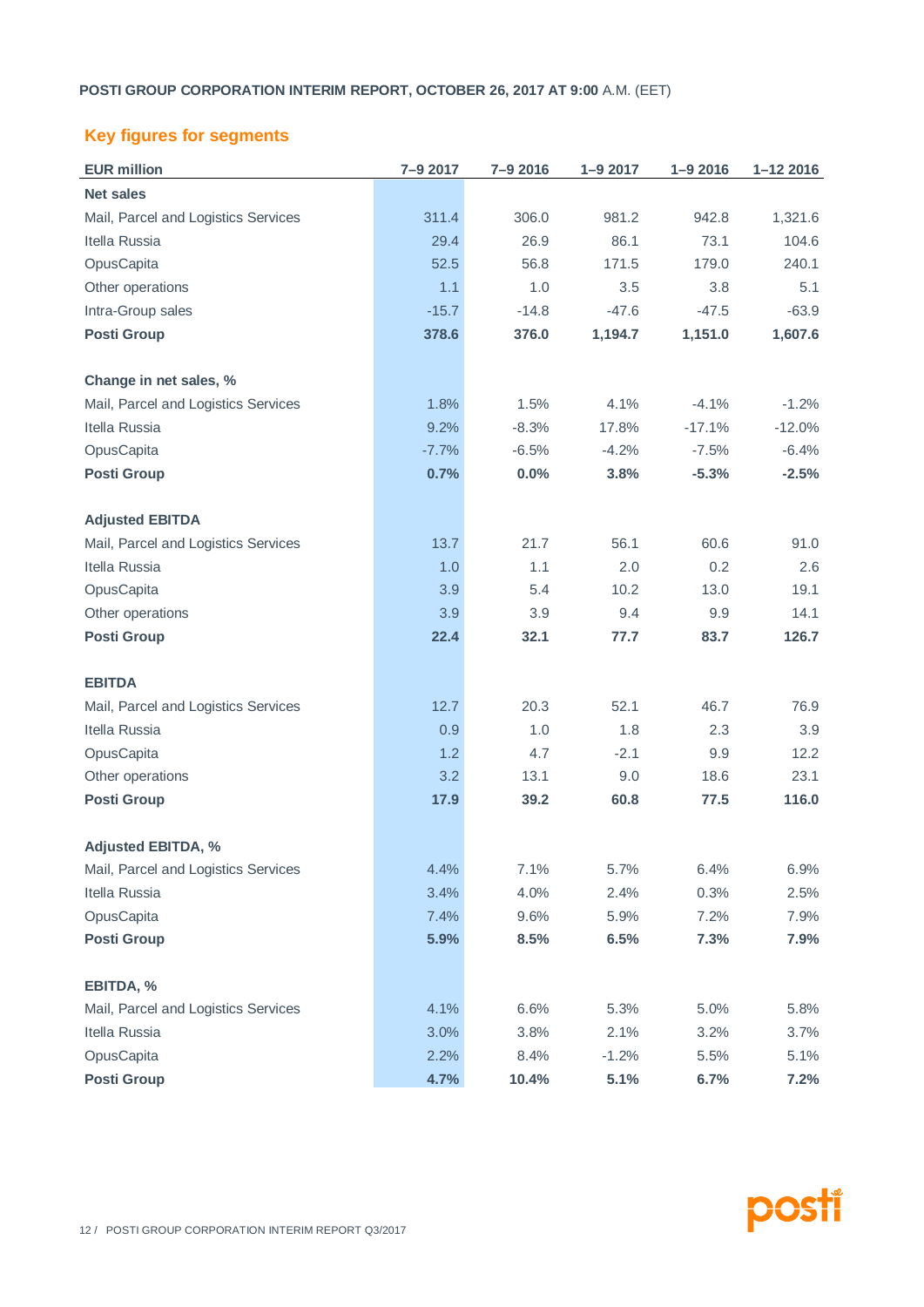# **Key figures for segments**

| <b>EUR million</b>                  | 7-9 2017 | 7-9 2016 | $1 - 92017$ | $1 - 92016$ | $1 - 122016$ |
|-------------------------------------|----------|----------|-------------|-------------|--------------|
| <b>Net sales</b>                    |          |          |             |             |              |
| Mail, Parcel and Logistics Services | 311.4    | 306.0    | 981.2       | 942.8       | 1,321.6      |
| Itella Russia                       | 29.4     | 26.9     | 86.1        | 73.1        | 104.6        |
| OpusCapita                          | 52.5     | 56.8     | 171.5       | 179.0       | 240.1        |
| Other operations                    | 1.1      | 1.0      | 3.5         | 3.8         | 5.1          |
| Intra-Group sales                   | $-15.7$  | $-14.8$  | $-47.6$     | $-47.5$     | $-63.9$      |
| <b>Posti Group</b>                  | 378.6    | 376.0    | 1,194.7     | 1,151.0     | 1,607.6      |
| Change in net sales, %              |          |          |             |             |              |
| Mail, Parcel and Logistics Services | 1.8%     | 1.5%     | 4.1%        | $-4.1%$     | $-1.2%$      |
| Itella Russia                       | 9.2%     | $-8.3%$  | 17.8%       | $-17.1%$    | $-12.0%$     |
| OpusCapita                          | $-7.7%$  | $-6.5%$  | $-4.2%$     | $-7.5%$     | $-6.4%$      |
| <b>Posti Group</b>                  | 0.7%     | 0.0%     | 3.8%        | $-5.3%$     | $-2.5%$      |
| <b>Adjusted EBITDA</b>              |          |          |             |             |              |
| Mail, Parcel and Logistics Services | 13.7     | 21.7     | 56.1        | 60.6        | 91.0         |
| Itella Russia                       | 1.0      | 1.1      | 2.0         | 0.2         | 2.6          |
| OpusCapita                          | 3.9      | 5.4      | 10.2        | 13.0        | 19.1         |
| Other operations                    | 3.9      | 3.9      | 9.4         | 9.9         | 14.1         |
| <b>Posti Group</b>                  | 22.4     | 32.1     | 77.7        | 83.7        | 126.7        |
| <b>EBITDA</b>                       |          |          |             |             |              |
| Mail, Parcel and Logistics Services | 12.7     | 20.3     | 52.1        | 46.7        | 76.9         |
| Itella Russia                       | 0.9      | 1.0      | 1.8         | 2.3         | 3.9          |
| OpusCapita                          | 1.2      | 4.7      | $-2.1$      | 9.9         | 12.2         |
| Other operations                    | 3.2      | 13.1     | 9.0         | 18.6        | 23.1         |
| <b>Posti Group</b>                  | 17.9     | 39.2     | 60.8        | 77.5        | 116.0        |
| <b>Adjusted EBITDA, %</b>           |          |          |             |             |              |
| Mail, Parcel and Logistics Services | 4.4%     | 7.1%     | 5.7%        | 6.4%        | 6.9%         |
| Itella Russia                       | 3.4%     | 4.0%     | 2.4%        | 0.3%        | 2.5%         |
| OpusCapita                          | 7.4%     | 9.6%     | 5.9%        | 7.2%        | 7.9%         |
| <b>Posti Group</b>                  | 5.9%     | 8.5%     | 6.5%        | 7.3%        | 7.9%         |
| EBITDA, %                           |          |          |             |             |              |
| Mail, Parcel and Logistics Services | 4.1%     | 6.6%     | 5.3%        | 5.0%        | 5.8%         |
| Itella Russia                       | 3.0%     | 3.8%     | 2.1%        | 3.2%        | 3.7%         |
| OpusCapita                          | 2.2%     | 8.4%     | $-1.2%$     | 5.5%        | 5.1%         |
| <b>Posti Group</b>                  | 4.7%     | 10.4%    | 5.1%        | 6.7%        | 7.2%         |

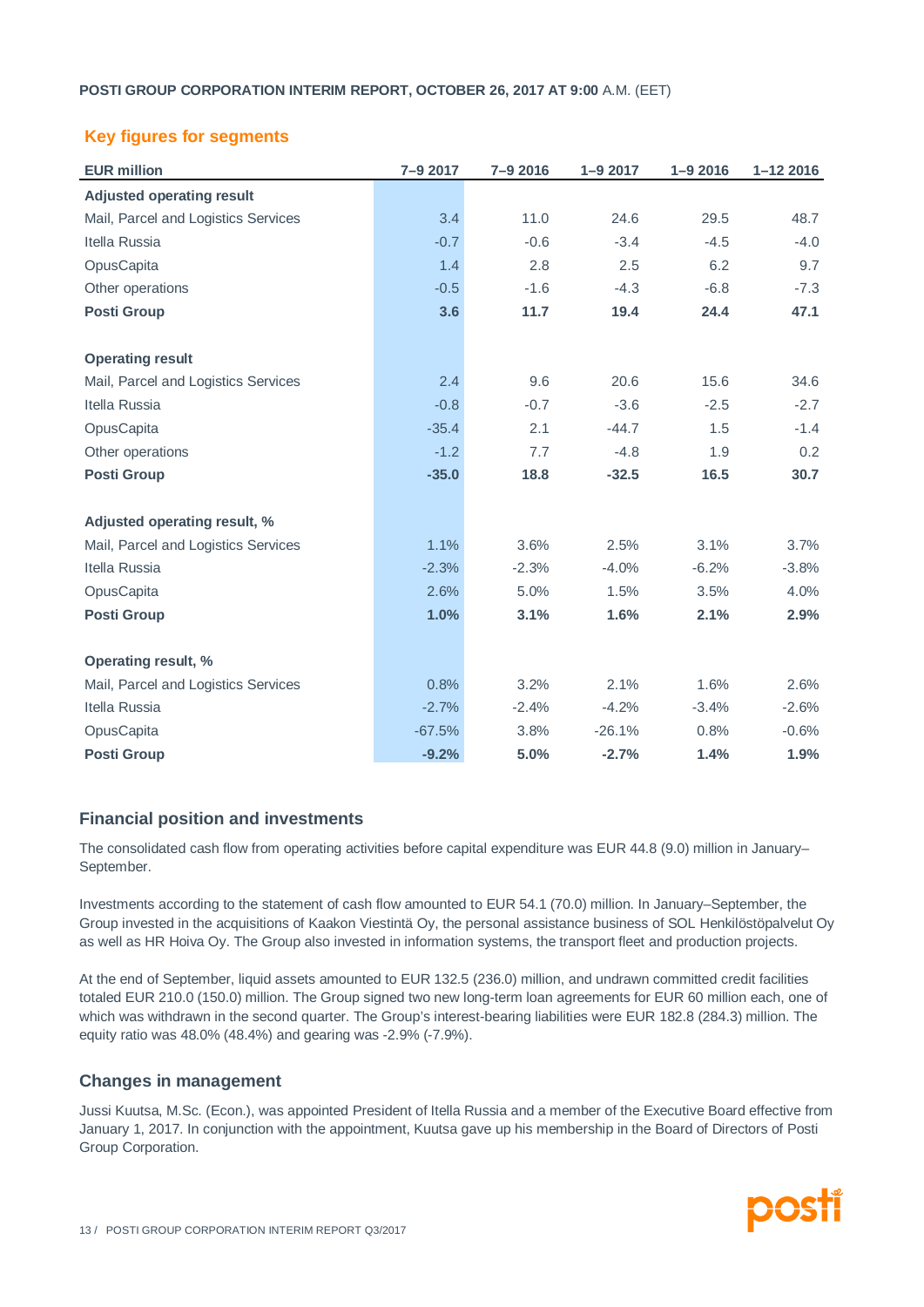# **Key figures for segments**

| <b>EUR million</b>                  | 7-9 2017 | 7-9 2016 | $1 - 92017$ | $1 - 92016$ | $1 - 122016$ |
|-------------------------------------|----------|----------|-------------|-------------|--------------|
| <b>Adjusted operating result</b>    |          |          |             |             |              |
| Mail, Parcel and Logistics Services | 3.4      | 11.0     | 24.6        | 29.5        | 48.7         |
| Itella Russia                       | $-0.7$   | $-0.6$   | $-3.4$      | $-4.5$      | $-4.0$       |
| OpusCapita                          | 1.4      | 2.8      | 2.5         | 6.2         | 9.7          |
| Other operations                    | $-0.5$   | $-1.6$   | $-4.3$      | $-6.8$      | $-7.3$       |
| <b>Posti Group</b>                  | 3.6      | 11.7     | 19.4        | 24.4        | 47.1         |
| <b>Operating result</b>             |          |          |             |             |              |
| Mail, Parcel and Logistics Services | 2.4      | 9.6      | 20.6        | 15.6        | 34.6         |
| Itella Russia                       | $-0.8$   | $-0.7$   | $-3.6$      | $-2.5$      | $-2.7$       |
| OpusCapita                          | $-35.4$  | 2.1      | $-44.7$     | 1.5         | $-1.4$       |
| Other operations                    | $-1.2$   | 7.7      | $-4.8$      | 1.9         | 0.2          |
| <b>Posti Group</b>                  | $-35.0$  | 18.8     | $-32.5$     | 16.5        | 30.7         |
| Adjusted operating result, %        |          |          |             |             |              |
| Mail, Parcel and Logistics Services | 1.1%     | 3.6%     | 2.5%        | 3.1%        | 3.7%         |
| Itella Russia                       | $-2.3%$  | $-2.3%$  | $-4.0%$     | $-6.2%$     | $-3.8%$      |
| OpusCapita                          | 2.6%     | 5.0%     | 1.5%        | 3.5%        | 4.0%         |
| <b>Posti Group</b>                  | 1.0%     | 3.1%     | 1.6%        | 2.1%        | 2.9%         |
| Operating result, %                 |          |          |             |             |              |
| Mail, Parcel and Logistics Services | 0.8%     | 3.2%     | 2.1%        | 1.6%        | 2.6%         |
| Itella Russia                       | $-2.7%$  | $-2.4%$  | $-4.2%$     | $-3.4%$     | $-2.6%$      |
| OpusCapita                          | $-67.5%$ | 3.8%     | $-26.1%$    | 0.8%        | $-0.6%$      |
| <b>Posti Group</b>                  | $-9.2%$  | 5.0%     | $-2.7%$     | 1.4%        | 1.9%         |

# **Financial position and investments**

The consolidated cash flow from operating activities before capital expenditure was EUR 44.8 (9.0) million in January– September.

Investments according to the statement of cash flow amounted to EUR 54.1 (70.0) million. In January–September, the Group invested in the acquisitions of Kaakon Viestintä Oy, the personal assistance business of SOL Henkilöstöpalvelut Oy as well as HR Hoiva Oy. The Group also invested in information systems, the transport fleet and production projects.

At the end of September, liquid assets amounted to EUR 132.5 (236.0) million, and undrawn committed credit facilities totaled EUR 210.0 (150.0) million. The Group signed two new long-term loan agreements for EUR 60 million each, one of which was withdrawn in the second quarter. The Group's interest-bearing liabilities were EUR 182.8 (284.3) million. The equity ratio was 48.0% (48.4%) and gearing was -2.9% (-7.9%).

# **Changes in management**

Jussi Kuutsa, M.Sc. (Econ.), was appointed President of Itella Russia and a member of the Executive Board effective from January 1, 2017. In conjunction with the appointment, Kuutsa gave up his membership in the Board of Directors of Posti Group Corporation.

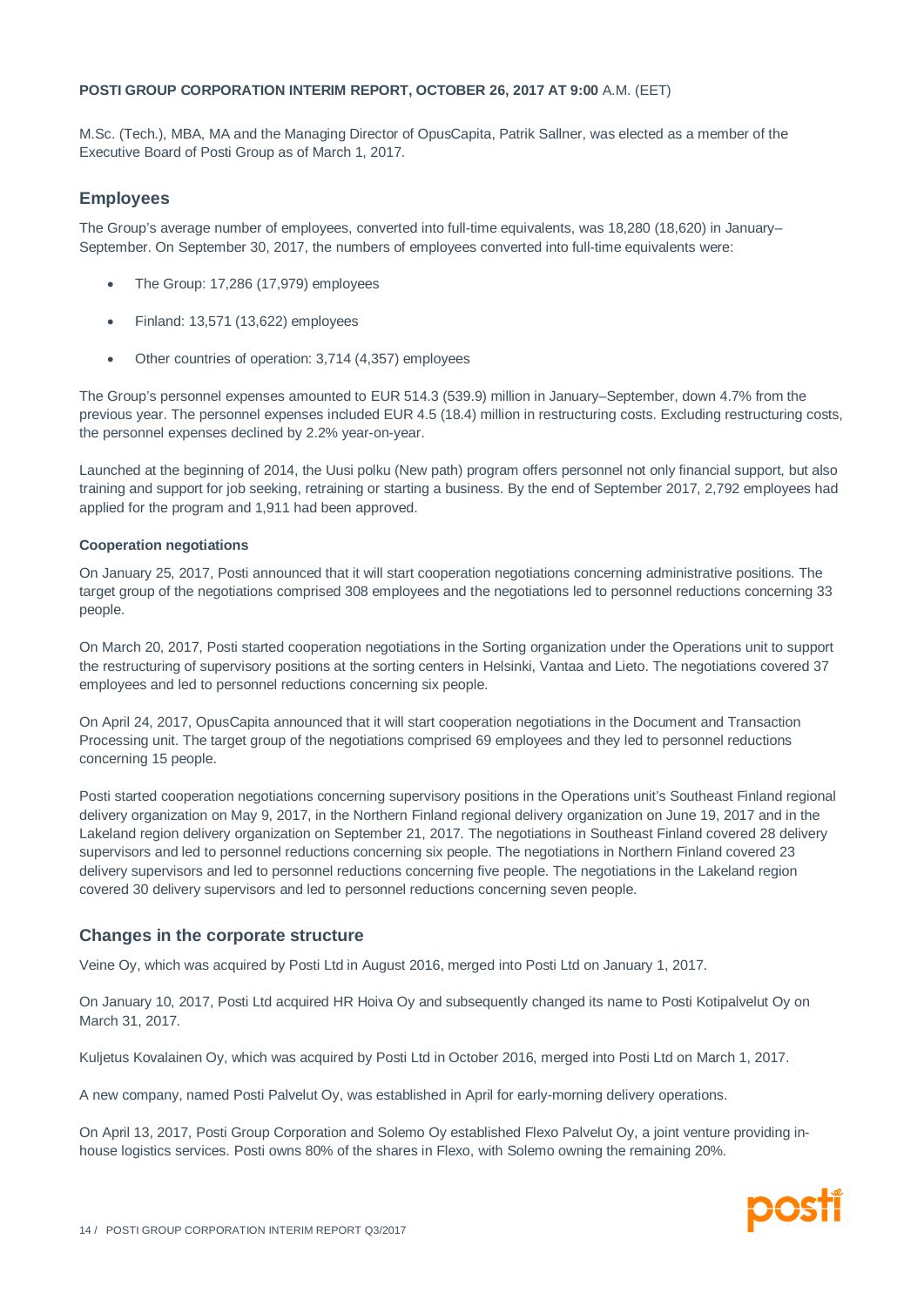M.Sc. (Tech.), MBA, MA and the Managing Director of OpusCapita, Patrik Sallner, was elected as a member of the Executive Board of Posti Group as of March 1, 2017.

### **Employees**

The Group's average number of employees, converted into full-time equivalents, was 18,280 (18,620) in January– September. On September 30, 2017, the numbers of employees converted into full-time equivalents were:

- · The Group: 17,286 (17,979) employees
- · Finland: 13,571 (13,622) employees
- · Other countries of operation: 3,714 (4,357) employees

The Group's personnel expenses amounted to EUR 514.3 (539.9) million in January–September, down 4.7% from the previous year. The personnel expenses included EUR 4.5 (18.4) million in restructuring costs. Excluding restructuring costs, the personnel expenses declined by 2.2% year-on-year.

Launched at the beginning of 2014, the Uusi polku (New path) program offers personnel not only financial support, but also training and support for job seeking, retraining or starting a business. By the end of September 2017, 2,792 employees had applied for the program and 1,911 had been approved.

#### **Cooperation negotiations**

On January 25, 2017, Posti announced that it will start cooperation negotiations concerning administrative positions. The target group of the negotiations comprised 308 employees and the negotiations led to personnel reductions concerning 33 people.

On March 20, 2017, Posti started cooperation negotiations in the Sorting organization under the Operations unit to support the restructuring of supervisory positions at the sorting centers in Helsinki, Vantaa and Lieto. The negotiations covered 37 employees and led to personnel reductions concerning six people.

On April 24, 2017, OpusCapita announced that it will start cooperation negotiations in the Document and Transaction Processing unit. The target group of the negotiations comprised 69 employees and they led to personnel reductions concerning 15 people.

Posti started cooperation negotiations concerning supervisory positions in the Operations unit's Southeast Finland regional delivery organization on May 9, 2017, in the Northern Finland regional delivery organization on June 19, 2017 and in the Lakeland region delivery organization on September 21, 2017. The negotiations in Southeast Finland covered 28 delivery supervisors and led to personnel reductions concerning six people. The negotiations in Northern Finland covered 23 delivery supervisors and led to personnel reductions concerning five people. The negotiations in the Lakeland region covered 30 delivery supervisors and led to personnel reductions concerning seven people.

#### **Changes in the corporate structure**

Veine Oy, which was acquired by Posti Ltd in August 2016, merged into Posti Ltd on January 1, 2017.

On January 10, 2017, Posti Ltd acquired HR Hoiva Oy and subsequently changed its name to Posti Kotipalvelut Oy on March 31, 2017.

Kuljetus Kovalainen Oy, which was acquired by Posti Ltd in October 2016, merged into Posti Ltd on March 1, 2017.

A new company, named Posti Palvelut Oy, was established in April for early-morning delivery operations.

On April 13, 2017, Posti Group Corporation and Solemo Oy established Flexo Palvelut Oy, a joint venture providing inhouse logistics services. Posti owns 80% of the shares in Flexo, with Solemo owning the remaining 20%.

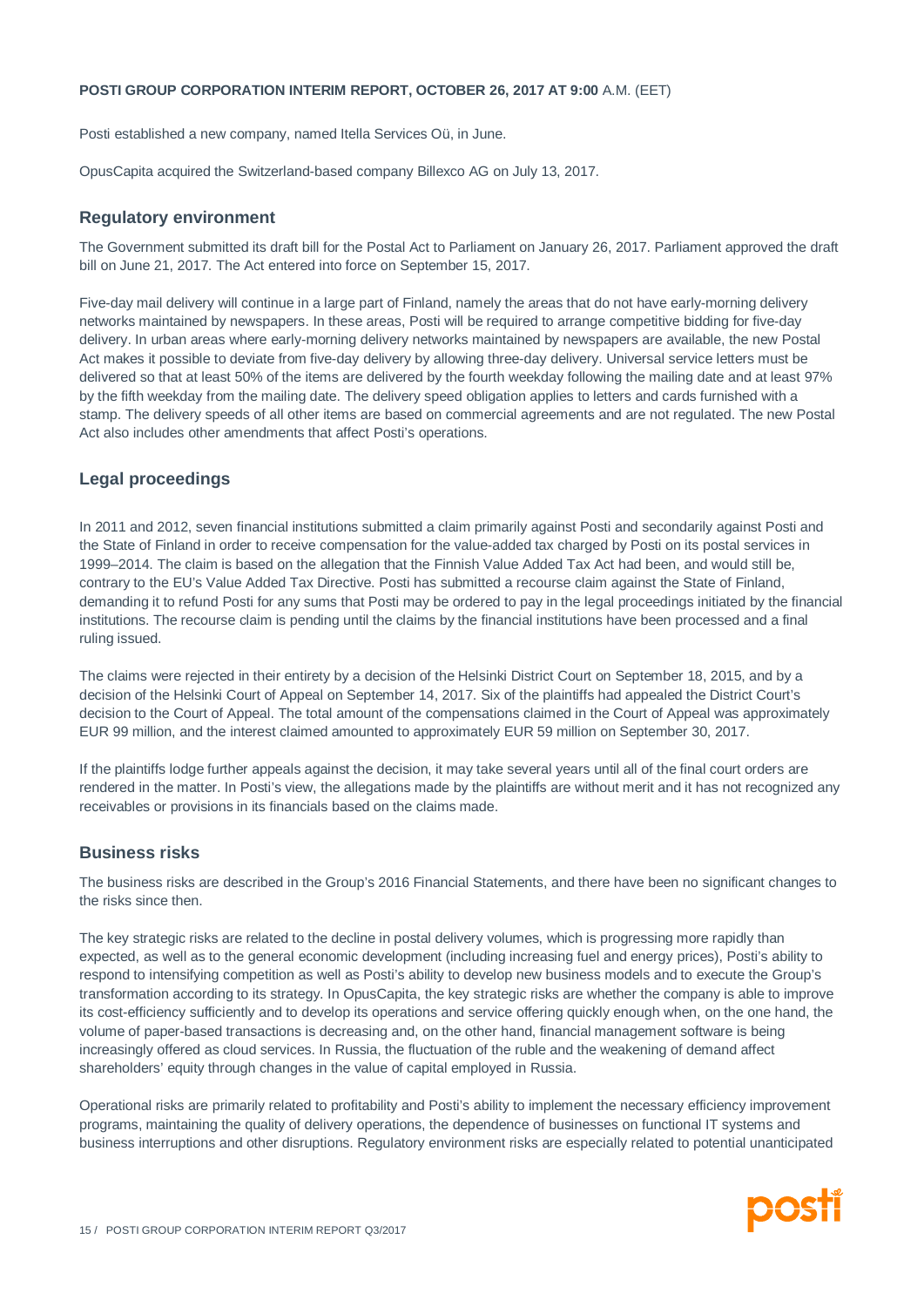Posti established a new company, named Itella Services Oü, in June.

OpusCapita acquired the Switzerland-based company Billexco AG on July 13, 2017.

#### **Regulatory environment**

The Government submitted its draft bill for the Postal Act to Parliament on January 26, 2017. Parliament approved the draft bill on June 21, 2017. The Act entered into force on September 15, 2017.

Five-day mail delivery will continue in a large part of Finland, namely the areas that do not have early-morning delivery networks maintained by newspapers. In these areas, Posti will be required to arrange competitive bidding for five-day delivery. In urban areas where early-morning delivery networks maintained by newspapers are available, the new Postal Act makes it possible to deviate from five-day delivery by allowing three-day delivery. Universal service letters must be delivered so that at least 50% of the items are delivered by the fourth weekday following the mailing date and at least 97% by the fifth weekday from the mailing date. The delivery speed obligation applies to letters and cards furnished with a stamp. The delivery speeds of all other items are based on commercial agreements and are not regulated. The new Postal Act also includes other amendments that affect Posti's operations.

# **Legal proceedings**

In 2011 and 2012, seven financial institutions submitted a claim primarily against Posti and secondarily against Posti and the State of Finland in order to receive compensation for the value-added tax charged by Posti on its postal services in 1999–2014. The claim is based on the allegation that the Finnish Value Added Tax Act had been, and would still be, contrary to the EU's Value Added Tax Directive. Posti has submitted a recourse claim against the State of Finland, demanding it to refund Posti for any sums that Posti may be ordered to pay in the legal proceedings initiated by the financial institutions. The recourse claim is pending until the claims by the financial institutions have been processed and a final ruling issued.

The claims were rejected in their entirety by a decision of the Helsinki District Court on September 18, 2015, and by a decision of the Helsinki Court of Appeal on September 14, 2017. Six of the plaintiffs had appealed the District Court's decision to the Court of Appeal. The total amount of the compensations claimed in the Court of Appeal was approximately EUR 99 million, and the interest claimed amounted to approximately EUR 59 million on September 30, 2017.

If the plaintiffs lodge further appeals against the decision, it may take several years until all of the final court orders are rendered in the matter. In Posti's view, the allegations made by the plaintiffs are without merit and it has not recognized any receivables or provisions in its financials based on the claims made.

# **Business risks**

The business risks are described in the Group's 2016 Financial Statements, and there have been no significant changes to the risks since then.

The key strategic risks are related to the decline in postal delivery volumes, which is progressing more rapidly than expected, as well as to the general economic development (including increasing fuel and energy prices), Posti's ability to respond to intensifying competition as well as Posti's ability to develop new business models and to execute the Group's transformation according to its strategy. In OpusCapita, the key strategic risks are whether the company is able to improve its cost-efficiency sufficiently and to develop its operations and service offering quickly enough when, on the one hand, the volume of paper-based transactions is decreasing and, on the other hand, financial management software is being increasingly offered as cloud services. In Russia, the fluctuation of the ruble and the weakening of demand affect shareholders' equity through changes in the value of capital employed in Russia.

Operational risks are primarily related to profitability and Posti's ability to implement the necessary efficiency improvement programs, maintaining the quality of delivery operations, the dependence of businesses on functional IT systems and business interruptions and other disruptions. Regulatory environment risks are especially related to potential unanticipated

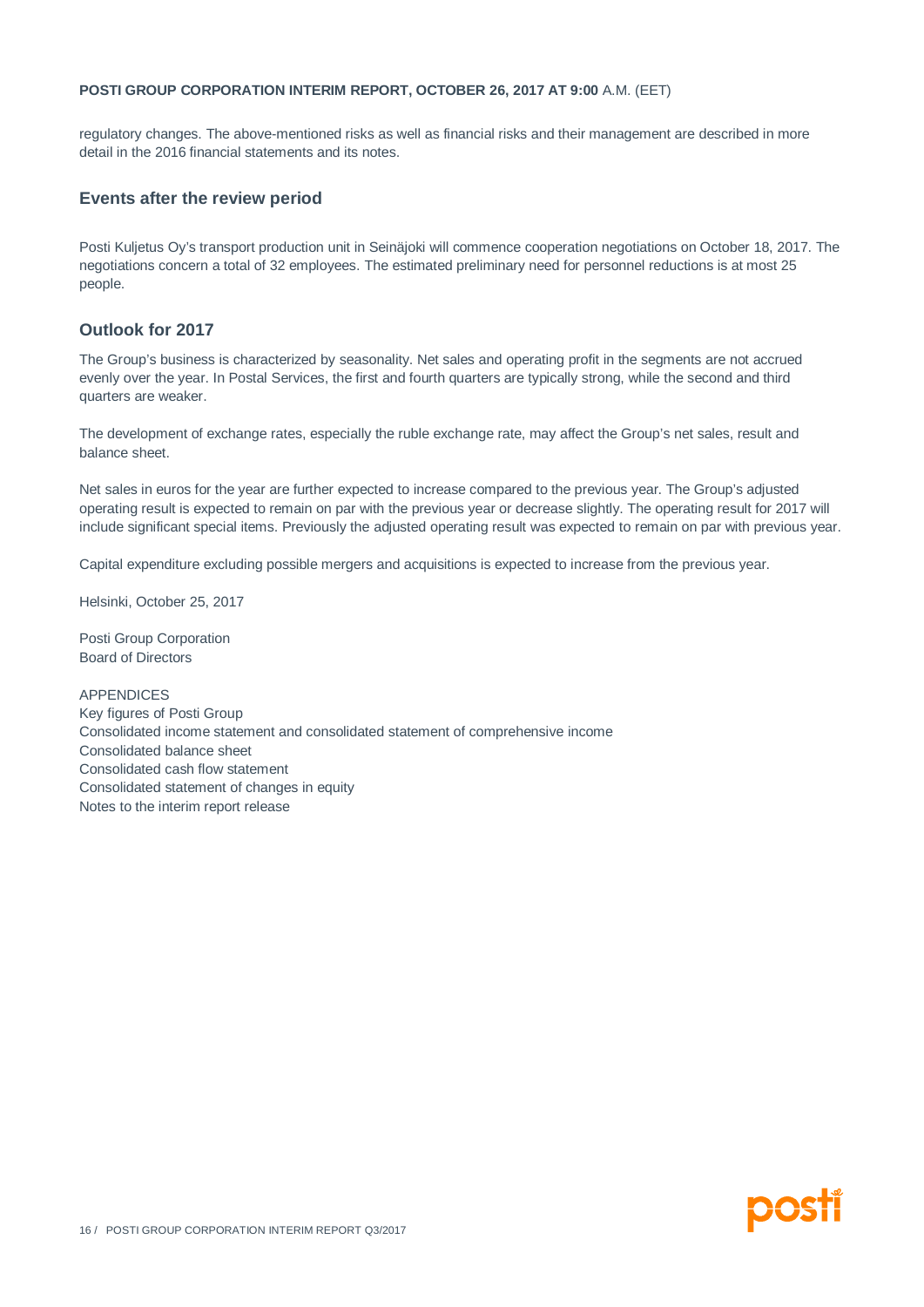regulatory changes. The above-mentioned risks as well as financial risks and their management are described in more detail in the 2016 financial statements and its notes.

#### **Events after the review period**

Posti Kuljetus Oy's transport production unit in Seinäjoki will commence cooperation negotiations on October 18, 2017. The negotiations concern a total of 32 employees. The estimated preliminary need for personnel reductions is at most 25 people.

# **Outlook for 2017**

The Group's business is characterized by seasonality. Net sales and operating profit in the segments are not accrued evenly over the year. In Postal Services, the first and fourth quarters are typically strong, while the second and third quarters are weaker.

The development of exchange rates, especially the ruble exchange rate, may affect the Group's net sales, result and balance sheet.

Net sales in euros for the year are further expected to increase compared to the previous year. The Group's adjusted operating result is expected to remain on par with the previous year or decrease slightly. The operating result for 2017 will include significant special items. Previously the adjusted operating result was expected to remain on par with previous year.

Capital expenditure excluding possible mergers and acquisitions is expected to increase from the previous year.

Helsinki, October 25, 2017

Posti Group Corporation Board of Directors

APPENDICES Key figures of Posti Group Consolidated income statement and consolidated statement of comprehensive income Consolidated balance sheet Consolidated cash flow statement Consolidated statement of changes in equity Notes to the interim report release

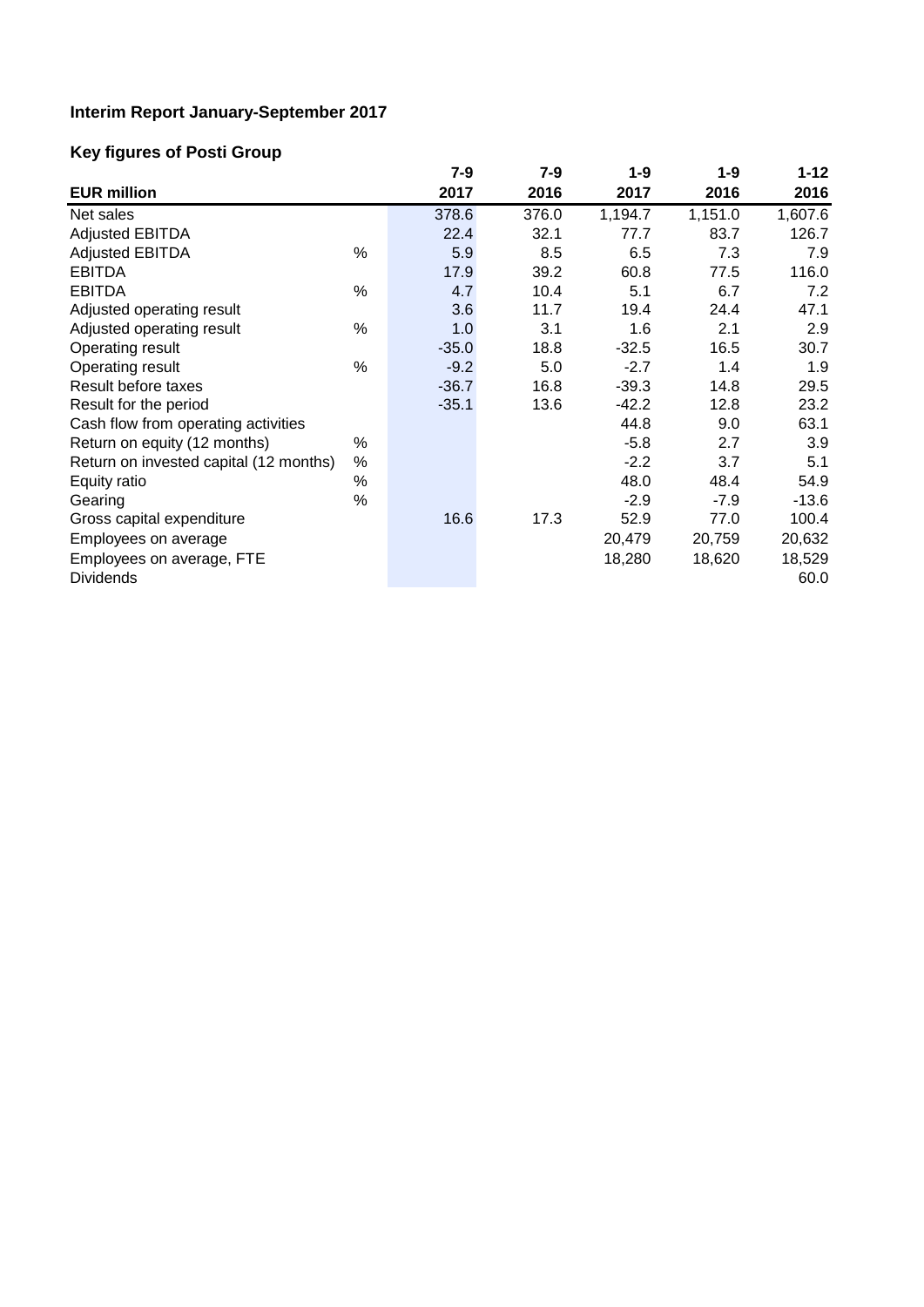# **Interim Report January-September 2017**

# **Key figures of Posti Group**

|                                        |      | $7 - 9$ | 7-9   | 1-9     | $1 - 9$ | $1 - 12$ |
|----------------------------------------|------|---------|-------|---------|---------|----------|
| <b>EUR million</b>                     |      | 2017    | 2016  | 2017    | 2016    | 2016     |
| Net sales                              |      | 378.6   | 376.0 | 1,194.7 | 1,151.0 | 1,607.6  |
| <b>Adjusted EBITDA</b>                 |      | 22.4    | 32.1  | 77.7    | 83.7    | 126.7    |
| <b>Adjusted EBITDA</b>                 | %    | 5.9     | 8.5   | 6.5     | 7.3     | 7.9      |
| <b>EBITDA</b>                          |      | 17.9    | 39.2  | 60.8    | 77.5    | 116.0    |
| <b>EBITDA</b>                          | $\%$ | 4.7     | 10.4  | 5.1     | 6.7     | 7.2      |
| Adjusted operating result              |      | 3.6     | 11.7  | 19.4    | 24.4    | 47.1     |
| Adjusted operating result              | %    | 1.0     | 3.1   | 1.6     | 2.1     | 2.9      |
| Operating result                       |      | $-35.0$ | 18.8  | $-32.5$ | 16.5    | 30.7     |
| Operating result                       | %    | $-9.2$  | 5.0   | $-2.7$  | 1.4     | 1.9      |
| Result before taxes                    |      | $-36.7$ | 16.8  | $-39.3$ | 14.8    | 29.5     |
| Result for the period                  |      | $-35.1$ | 13.6  | $-42.2$ | 12.8    | 23.2     |
| Cash flow from operating activities    |      |         |       | 44.8    | 9.0     | 63.1     |
| Return on equity (12 months)           | %    |         |       | $-5.8$  | 2.7     | 3.9      |
| Return on invested capital (12 months) | %    |         |       | $-2.2$  | 3.7     | 5.1      |
| Equity ratio                           | %    |         |       | 48.0    | 48.4    | 54.9     |
| Gearing                                | $\%$ |         |       | $-2.9$  | $-7.9$  | $-13.6$  |
| Gross capital expenditure              |      | 16.6    | 17.3  | 52.9    | 77.0    | 100.4    |
| Employees on average                   |      |         |       | 20,479  | 20,759  | 20,632   |
| Employees on average, FTE              |      |         |       | 18,280  | 18,620  | 18,529   |
| <b>Dividends</b>                       |      |         |       |         |         | 60.0     |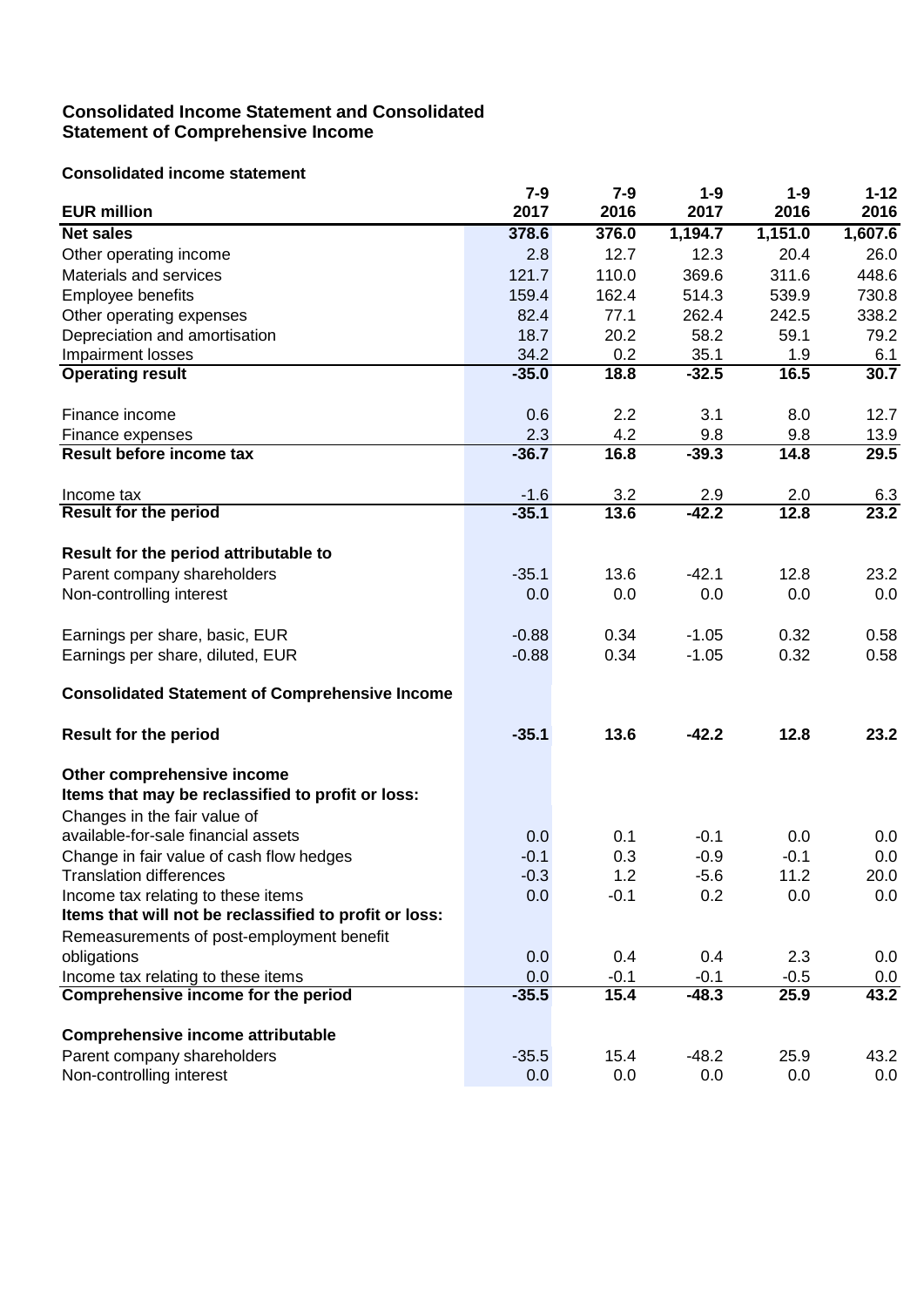# **Consolidated Income Statement and Consolidated Statement of Comprehensive Income**

# **Consolidated income statement**

|                                                        | $7 - 9$ | $7 - 9$ | $1 - 9$ | $1-9$   | $1 - 12$ |
|--------------------------------------------------------|---------|---------|---------|---------|----------|
| <b>EUR million</b>                                     | 2017    | 2016    | 2017    | 2016    | 2016     |
| <b>Net sales</b>                                       | 378.6   | 376.0   | 1,194.7 | 1,151.0 | 1,607.6  |
| Other operating income                                 | 2.8     | 12.7    | 12.3    | 20.4    | 26.0     |
| Materials and services                                 | 121.7   | 110.0   | 369.6   | 311.6   | 448.6    |
| Employee benefits                                      | 159.4   | 162.4   | 514.3   | 539.9   | 730.8    |
| Other operating expenses                               | 82.4    | 77.1    | 262.4   | 242.5   | 338.2    |
| Depreciation and amortisation                          | 18.7    | 20.2    | 58.2    | 59.1    | 79.2     |
| Impairment losses                                      | 34.2    | 0.2     | 35.1    | 1.9     | 6.1      |
| <b>Operating result</b>                                | $-35.0$ | 18.8    | $-32.5$ | 16.5    | 30.7     |
| Finance income                                         | 0.6     | 2.2     | 3.1     | 8.0     | 12.7     |
| Finance expenses                                       | 2.3     | 4.2     | 9.8     | 9.8     | 13.9     |
| Result before income tax                               | $-36.7$ | 16.8    | $-39.3$ | 14.8    | 29.5     |
| Income tax                                             | $-1.6$  | 3.2     | 2.9     | 2.0     | 6.3      |
| <b>Result for the period</b>                           | $-35.1$ | 13.6    | $-42.2$ | 12.8    | 23.2     |
| Result for the period attributable to                  |         |         |         |         |          |
| Parent company shareholders                            | $-35.1$ | 13.6    | $-42.1$ | 12.8    | 23.2     |
| Non-controlling interest                               | 0.0     | 0.0     | 0.0     | 0.0     | 0.0      |
| Earnings per share, basic, EUR                         | $-0.88$ | 0.34    | $-1.05$ | 0.32    | 0.58     |
| Earnings per share, diluted, EUR                       | $-0.88$ | 0.34    | $-1.05$ | 0.32    | 0.58     |
| <b>Consolidated Statement of Comprehensive Income</b>  |         |         |         |         |          |
| <b>Result for the period</b>                           | $-35.1$ | 13.6    | $-42.2$ | 12.8    | 23.2     |
| Other comprehensive income                             |         |         |         |         |          |
| Items that may be reclassified to profit or loss:      |         |         |         |         |          |
| Changes in the fair value of                           |         |         |         |         |          |
| available-for-sale financial assets                    | 0.0     | 0.1     | $-0.1$  | 0.0     | 0.0      |
| Change in fair value of cash flow hedges               | $-0.1$  | 0.3     | $-0.9$  | $-0.1$  | 0.0      |
| <b>Translation differences</b>                         | $-0.3$  | 1.2     | $-5.6$  | 11.2    | 20.0     |
| Income tax relating to these items                     | 0.0     | $-0.1$  | 0.2     | 0.0     | 0.0      |
| Items that will not be reclassified to profit or loss: |         |         |         |         |          |
| Remeasurements of post-employment benefit              |         |         |         |         |          |
| obligations                                            | 0.0     | 0.4     | 0.4     | 2.3     | 0.0      |
| Income tax relating to these items                     | 0.0     | $-0.1$  | $-0.1$  | $-0.5$  | 0.0      |
| Comprehensive income for the period                    | $-35.5$ | 15.4    | $-48.3$ | 25.9    | 43.2     |
| <b>Comprehensive income attributable</b>               |         |         |         |         |          |
| Parent company shareholders                            | $-35.5$ | 15.4    | $-48.2$ | 25.9    | 43.2     |
| Non-controlling interest                               | 0.0     | 0.0     | 0.0     | 0.0     | 0.0      |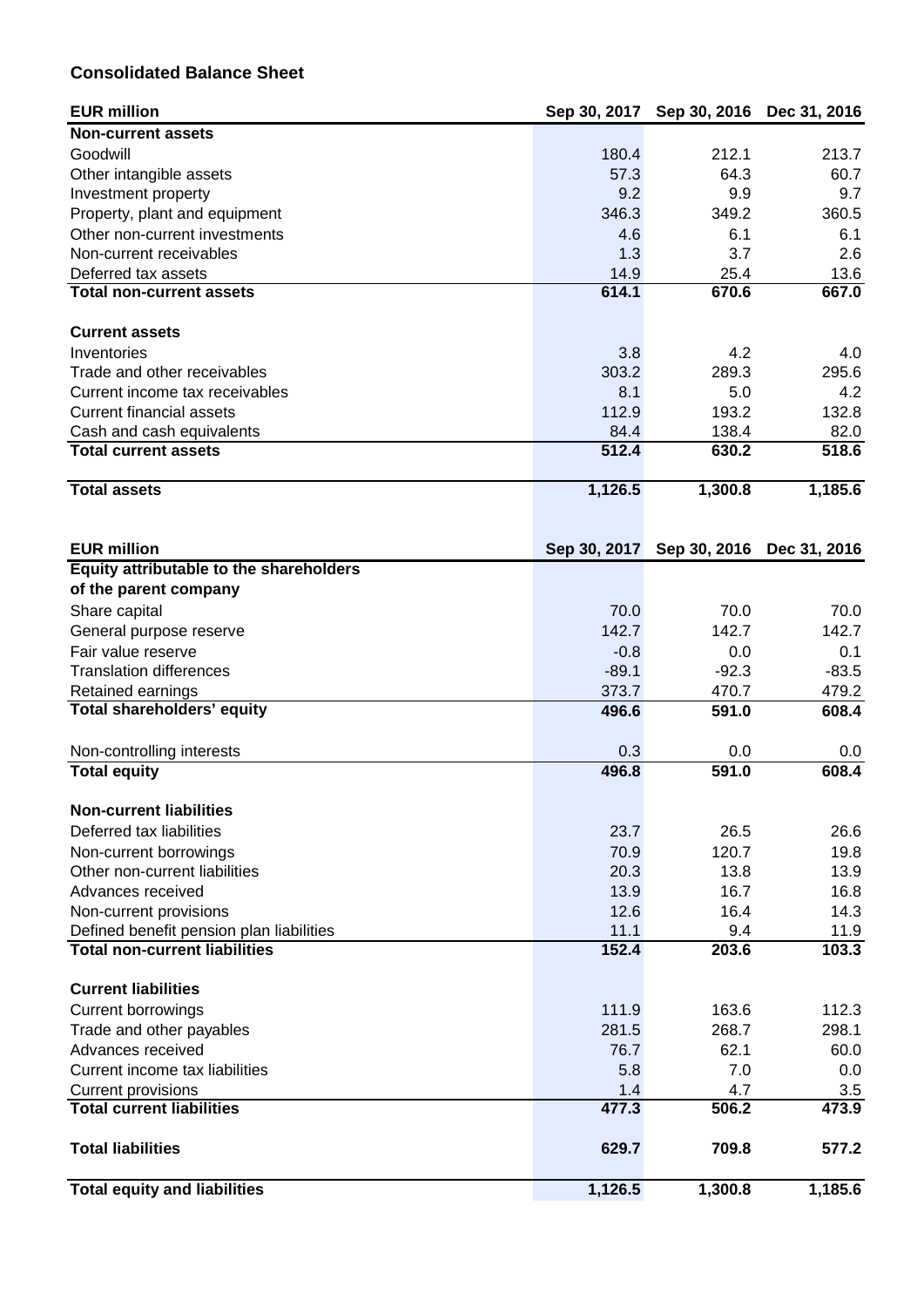# **Consolidated Balance Sheet**

| <b>EUR million</b>                                                 |              | Sep 30, 2017 Sep 30, 2016 | Dec 31, 2016              |
|--------------------------------------------------------------------|--------------|---------------------------|---------------------------|
| <b>Non-current assets</b>                                          |              |                           |                           |
| Goodwill                                                           | 180.4        | 212.1                     | 213.7                     |
| Other intangible assets                                            | 57.3         | 64.3                      | 60.7                      |
| Investment property                                                | 9.2          | 9.9                       | 9.7                       |
| Property, plant and equipment                                      | 346.3        | 349.2                     | 360.5                     |
| Other non-current investments                                      | 4.6          | 6.1                       | 6.1                       |
| Non-current receivables                                            | 1.3          | 3.7                       | 2.6                       |
| Deferred tax assets                                                | 14.9         | 25.4                      | 13.6                      |
| <b>Total non-current assets</b>                                    | 614.1        | 670.6                     | 667.0                     |
|                                                                    |              |                           |                           |
| <b>Current assets</b>                                              |              |                           |                           |
| Inventories                                                        | 3.8          | 4.2                       | 4.0                       |
| Trade and other receivables                                        | 303.2        | 289.3                     | 295.6                     |
| Current income tax receivables                                     | 8.1          | 5.0                       | 4.2                       |
| <b>Current financial assets</b>                                    | 112.9        | 193.2                     | 132.8                     |
| Cash and cash equivalents                                          | 84.4         | 138.4                     | 82.0                      |
| <b>Total current assets</b>                                        | 512.4        | 630.2                     | 518.6                     |
| <b>Total assets</b>                                                | 1,126.5      | 1,300.8                   | 1,185.6                   |
|                                                                    |              |                           |                           |
| <b>EUR million</b>                                                 | Sep 30, 2017 |                           | Sep 30, 2016 Dec 31, 2016 |
| Equity attributable to the shareholders                            |              |                           |                           |
| of the parent company                                              |              |                           |                           |
| Share capital                                                      | 70.0         | 70.0                      | 70.0                      |
| General purpose reserve                                            | 142.7        | 142.7                     | 142.7                     |
| Fair value reserve                                                 | $-0.8$       | 0.0                       | 0.1                       |
| <b>Translation differences</b>                                     | $-89.1$      | $-92.3$                   | $-83.5$                   |
| Retained earnings                                                  | 373.7        | 470.7                     | 479.2                     |
| Total shareholders' equity                                         | 496.6        | 591.0                     | 608.4                     |
|                                                                    |              |                           |                           |
| Non-controlling interests                                          | 0.3          | 0.0                       | 0.0                       |
| <b>Total equity</b>                                                | 496.8        | 591.0                     | 608.4                     |
| <b>Non-current liabilities</b>                                     |              |                           |                           |
| Deferred tax liabilities                                           | 23.7         | 26.5                      | 26.6                      |
|                                                                    |              |                           |                           |
| Non-current borrowings<br>Other non-current liabilities            | 70.9<br>20.3 | 120.7                     | 19.8                      |
| Advances received                                                  | 13.9         | 13.8<br>16.7              | 13.9<br>16.8              |
|                                                                    | 12.6         | 16.4                      | 14.3                      |
| Non-current provisions<br>Defined benefit pension plan liabilities | 11.1         | 9.4                       | 11.9                      |
| <b>Total non-current liabilities</b>                               | 152.4        | 203.6                     | 103.3                     |
|                                                                    |              |                           |                           |
| <b>Current liabilities</b>                                         |              |                           |                           |
| <b>Current borrowings</b>                                          | 111.9        | 163.6                     | 112.3                     |
| Trade and other payables                                           | 281.5        | 268.7                     | 298.1                     |
| Advances received                                                  | 76.7         | 62.1                      | 60.0                      |
| Current income tax liabilities                                     | 5.8          | 7.0                       | 0.0                       |
| <b>Current provisions</b>                                          | 1.4          | 4.7                       | 3.5                       |
| <b>Total current liabilities</b>                                   | 477.3        | 506.2                     | 473.9                     |
| <b>Total liabilities</b>                                           | 629.7        | 709.8                     | 577.2                     |
| <b>Total equity and liabilities</b>                                | 1,126.5      | 1,300.8                   | 1,185.6                   |
|                                                                    |              |                           |                           |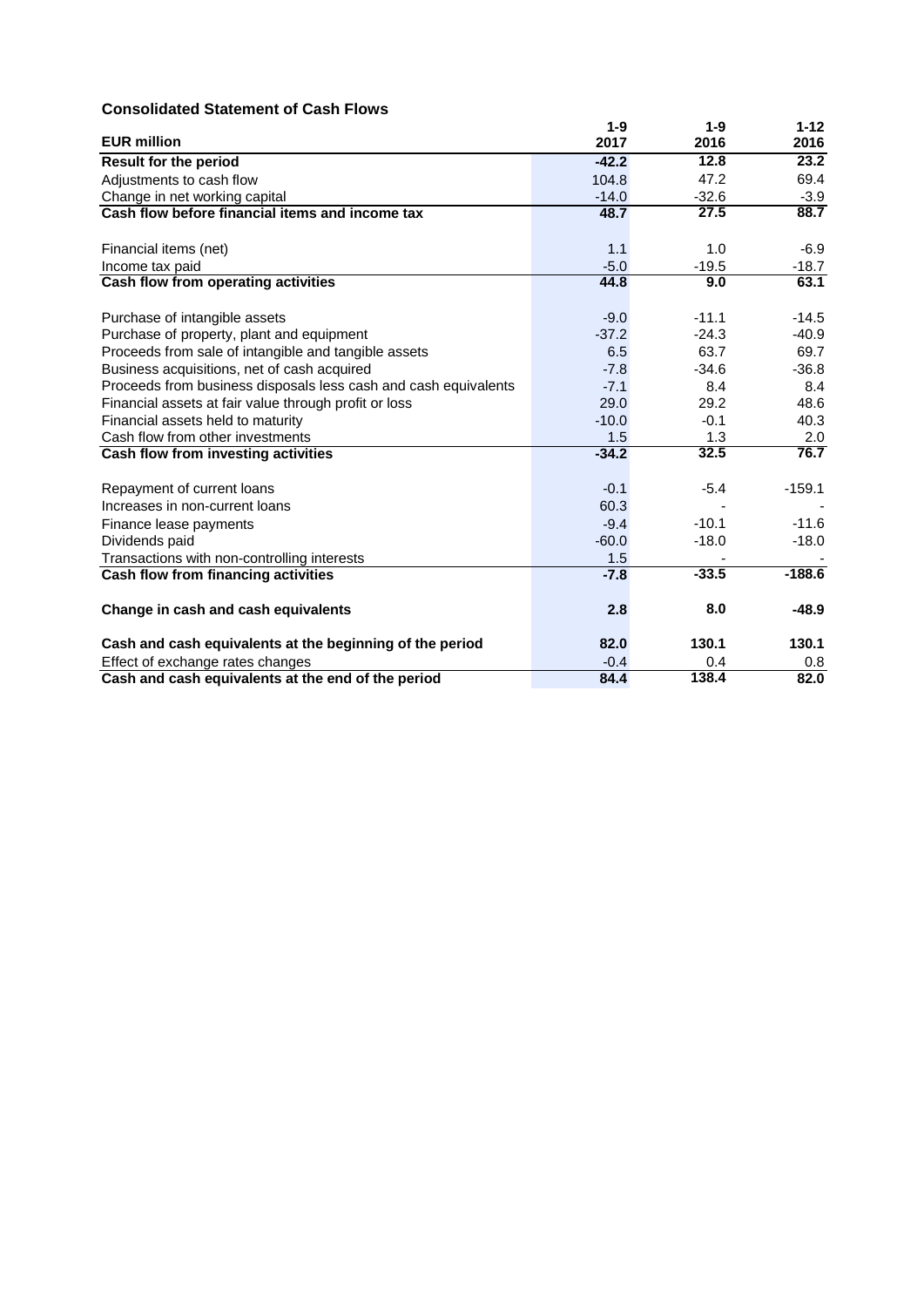# **Consolidated Statement of Cash Flows**

|                                                                 | $1-9$   | $1 - 9$ | $1 - 12$ |
|-----------------------------------------------------------------|---------|---------|----------|
| <b>EUR million</b>                                              | 2017    | 2016    | 2016     |
| <b>Result for the period</b>                                    | $-42.2$ | 12.8    | 23.2     |
| Adjustments to cash flow                                        | 104.8   | 47.2    | 69.4     |
| Change in net working capital                                   | $-14.0$ | $-32.6$ | $-3.9$   |
| Cash flow before financial items and income tax                 | 48.7    | 27.5    | 88.7     |
| Financial items (net)                                           | 1.1     | 1.0     | $-6.9$   |
| Income tax paid                                                 | $-5.0$  | $-19.5$ | $-18.7$  |
| Cash flow from operating activities                             | 44.8    | 9.0     | 63.1     |
| Purchase of intangible assets                                   | $-9.0$  | $-11.1$ | $-14.5$  |
| Purchase of property, plant and equipment                       | $-37.2$ | $-24.3$ | $-40.9$  |
| Proceeds from sale of intangible and tangible assets            | 6.5     | 63.7    | 69.7     |
| Business acquisitions, net of cash acquired                     | $-7.8$  | $-34.6$ | $-36.8$  |
| Proceeds from business disposals less cash and cash equivalents | $-7.1$  | 8.4     | 8.4      |
| Financial assets at fair value through profit or loss           | 29.0    | 29.2    | 48.6     |
| Financial assets held to maturity                               | $-10.0$ | $-0.1$  | 40.3     |
| Cash flow from other investments                                | 1.5     | 1.3     | 2.0      |
| Cash flow from investing activities                             | $-34.2$ | 32.5    | 76.7     |
| Repayment of current loans                                      | $-0.1$  | $-5.4$  | $-159.1$ |
| Increases in non-current loans                                  | 60.3    |         |          |
| Finance lease payments                                          | $-9.4$  | $-10.1$ | $-11.6$  |
| Dividends paid                                                  | $-60.0$ | $-18.0$ | $-18.0$  |
| Transactions with non-controlling interests                     | 1.5     |         |          |
| Cash flow from financing activities                             | $-7.8$  | $-33.5$ | $-188.6$ |
| Change in cash and cash equivalents                             | 2.8     | 8.0     | $-48.9$  |
| Cash and cash equivalents at the beginning of the period        | 82.0    | 130.1   | 130.1    |
| Effect of exchange rates changes                                | $-0.4$  | 0.4     | 0.8      |
| Cash and cash equivalents at the end of the period              | 84.4    | 138.4   | 82.0     |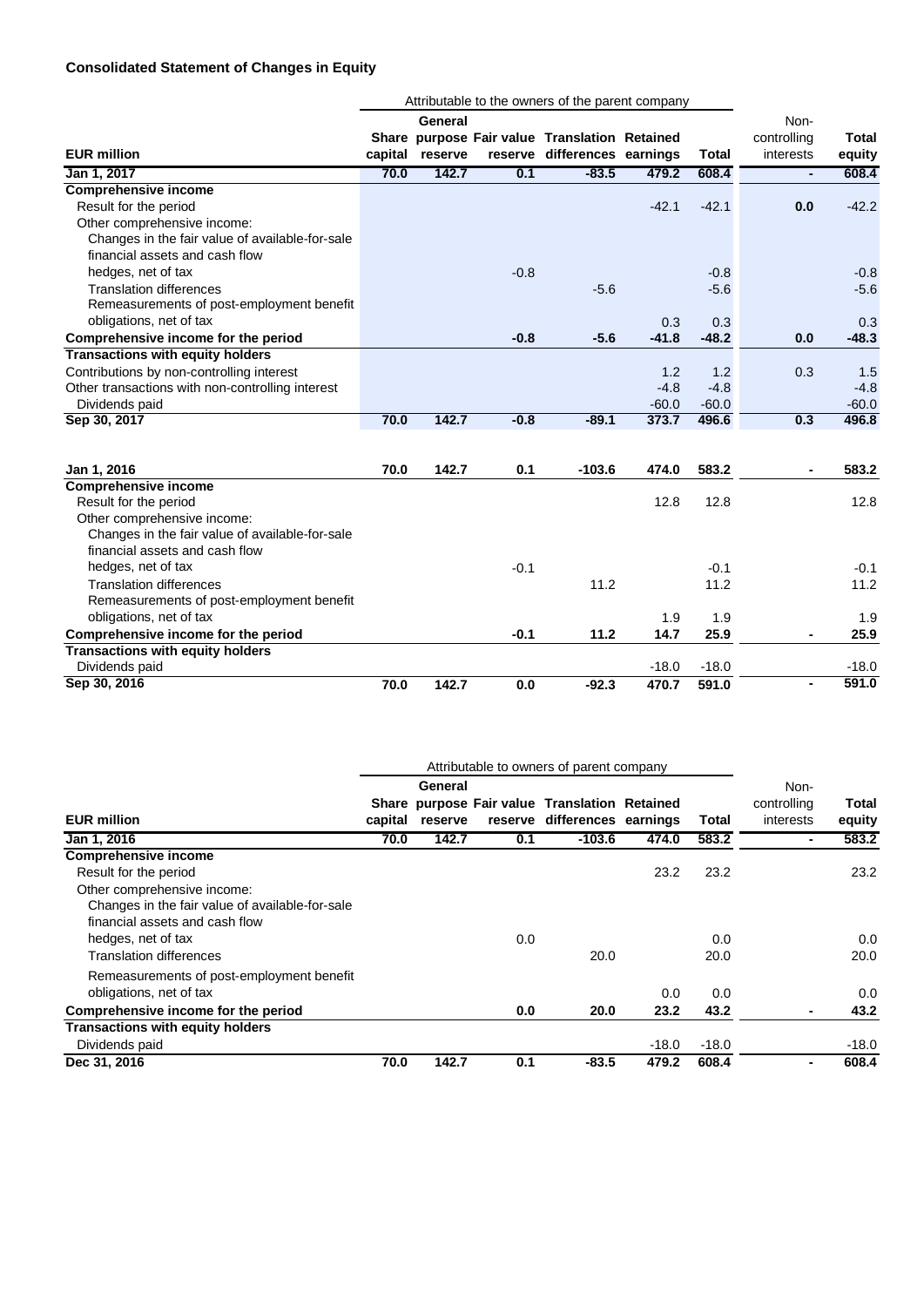# **Consolidated Statement of Changes in Equity**

|                                                  |         | Attributable to the owners of the parent company |        |                                               |         |              |                |              |
|--------------------------------------------------|---------|--------------------------------------------------|--------|-----------------------------------------------|---------|--------------|----------------|--------------|
|                                                  |         | General                                          |        |                                               |         |              | Non-           |              |
|                                                  |         |                                                  |        | Share purpose Fair value Translation Retained |         |              | controlling    | <b>Total</b> |
| <b>EUR million</b>                               | capital | reserve                                          |        | reserve differences earnings                  |         | <b>Total</b> | interests      | equity       |
| Jan 1, 2017                                      | 70.0    | 142.7                                            | 0.1    | $-83.5$                                       | 479.2   | 608.4        | $\blacksquare$ | 608.4        |
| <b>Comprehensive income</b>                      |         |                                                  |        |                                               |         |              |                |              |
| Result for the period                            |         |                                                  |        |                                               | $-42.1$ | $-42.1$      | 0.0            | $-42.2$      |
| Other comprehensive income:                      |         |                                                  |        |                                               |         |              |                |              |
| Changes in the fair value of available-for-sale  |         |                                                  |        |                                               |         |              |                |              |
| financial assets and cash flow                   |         |                                                  |        |                                               |         |              |                |              |
| hedges, net of tax                               |         |                                                  | $-0.8$ |                                               |         | $-0.8$       |                | $-0.8$       |
| <b>Translation differences</b>                   |         |                                                  |        | $-5.6$                                        |         | $-5.6$       |                | $-5.6$       |
| Remeasurements of post-employment benefit        |         |                                                  |        |                                               |         |              |                |              |
| obligations, net of tax                          |         |                                                  |        |                                               | 0.3     | 0.3          |                | 0.3          |
| Comprehensive income for the period              |         |                                                  | $-0.8$ | $-5.6$                                        | $-41.8$ | $-48.2$      | 0.0            | $-48.3$      |
| <b>Transactions with equity holders</b>          |         |                                                  |        |                                               |         |              |                |              |
| Contributions by non-controlling interest        |         |                                                  |        |                                               | 1.2     | 1.2          | 0.3            | 1.5          |
| Other transactions with non-controlling interest |         |                                                  |        |                                               | $-4.8$  | $-4.8$       |                | $-4.8$       |
| Dividends paid                                   |         |                                                  |        |                                               | $-60.0$ | $-60.0$      |                | $-60.0$      |
| Sep 30, 2017                                     | 70.0    | 142.7                                            | $-0.8$ | $-89.1$                                       | 373.7   | 496.6        | 0.3            | 496.8        |
|                                                  |         |                                                  |        |                                               |         |              |                |              |
| Jan 1, 2016                                      | 70.0    | 142.7                                            | 0.1    | $-103.6$                                      | 474.0   | 583.2        | $\blacksquare$ | 583.2        |
| <b>Comprehensive income</b>                      |         |                                                  |        |                                               |         |              |                |              |
| Result for the period                            |         |                                                  |        |                                               | 12.8    | 12.8         |                | 12.8         |
| Other comprehensive income:                      |         |                                                  |        |                                               |         |              |                |              |
| Changes in the fair value of available-for-sale  |         |                                                  |        |                                               |         |              |                |              |
| financial assets and cash flow                   |         |                                                  |        |                                               |         |              |                |              |
| hedges, net of tax                               |         |                                                  | $-0.1$ |                                               |         | $-0.1$       |                | $-0.1$       |
| <b>Translation differences</b>                   |         |                                                  |        | 11.2                                          |         | 11.2         |                | 11.2         |
| Remeasurements of post-employment benefit        |         |                                                  |        |                                               |         |              |                |              |
| obligations, net of tax                          |         |                                                  |        |                                               | 1.9     | 1.9          |                | 1.9          |
| Comprehensive income for the period              |         |                                                  | $-0.1$ | 11.2                                          | 14.7    | 25.9         | ٠              | 25.9         |
| <b>Transactions with equity holders</b>          |         |                                                  |        |                                               |         |              |                |              |
| Dividends paid                                   |         |                                                  |        |                                               | $-18.0$ | $-18.0$      |                | $-18.0$      |
| Sep 30, 2016                                     | 70.0    | 142.7                                            | 0.0    | $-92.3$                                       | 470.7   | 591.0        | ٠              | 591.0        |

|                                                 | Attributable to owners of parent company |         |     |                                               |         |         |                     |         |
|-------------------------------------------------|------------------------------------------|---------|-----|-----------------------------------------------|---------|---------|---------------------|---------|
|                                                 |                                          | General |     | Share purpose Fair value Translation Retained |         |         | Non-<br>controlling | Total   |
| <b>EUR million</b>                              | capital                                  | reserve |     | reserve differences earnings                  |         | Total   | interests           | equity  |
| Jan 1, 2016                                     | 70.0                                     | 142.7   | 0.1 | $-103.6$                                      | 474.0   | 583.2   | ۰                   | 583.2   |
| <b>Comprehensive income</b>                     |                                          |         |     |                                               |         |         |                     |         |
| Result for the period                           |                                          |         |     |                                               | 23.2    | 23.2    |                     | 23.2    |
| Other comprehensive income:                     |                                          |         |     |                                               |         |         |                     |         |
| Changes in the fair value of available-for-sale |                                          |         |     |                                               |         |         |                     |         |
| financial assets and cash flow                  |                                          |         |     |                                               |         |         |                     |         |
| hedges, net of tax                              |                                          |         | 0.0 |                                               |         | 0.0     |                     | 0.0     |
| <b>Translation differences</b>                  |                                          |         |     | 20.0                                          |         | 20.0    |                     | 20.0    |
| Remeasurements of post-employment benefit       |                                          |         |     |                                               |         |         |                     |         |
| obligations, net of tax                         |                                          |         |     |                                               | 0.0     | 0.0     |                     | 0.0     |
| Comprehensive income for the period             |                                          |         | 0.0 | 20.0                                          | 23.2    | 43.2    | ۰                   | 43.2    |
| <b>Transactions with equity holders</b>         |                                          |         |     |                                               |         |         |                     |         |
| Dividends paid                                  |                                          |         |     |                                               | $-18.0$ | $-18.0$ |                     | $-18.0$ |
| Dec 31, 2016                                    | 70.0                                     | 142.7   | 0.1 | -83.5                                         | 479.2   | 608.4   | ۰                   | 608.4   |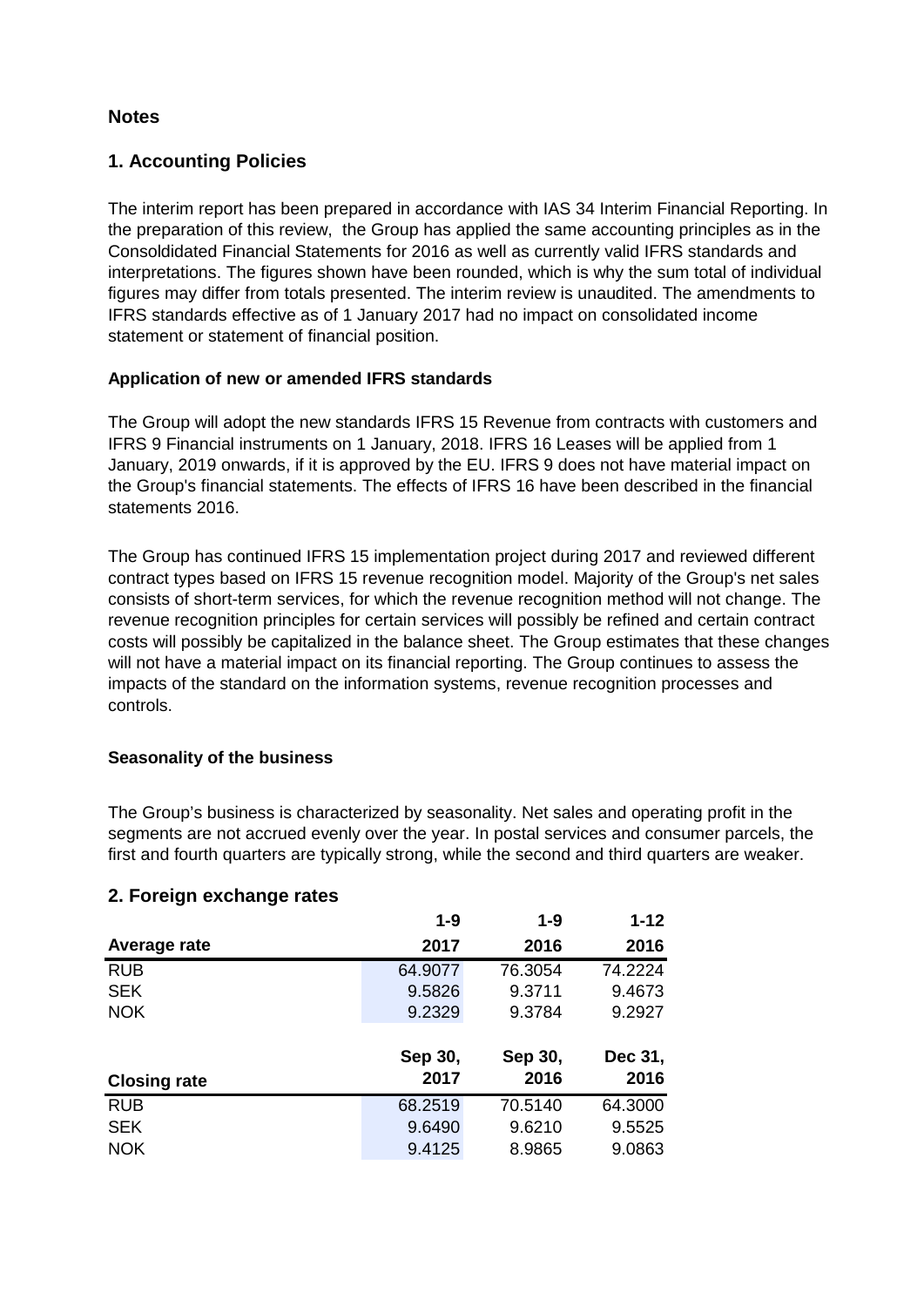# **Notes**

# **1. Accounting Policies**

The interim report has been prepared in accordance with IAS 34 Interim Financial Reporting. In the preparation of this review, the Group has applied the same accounting principles as in the Consoldidated Financial Statements for 2016 as well as currently valid IFRS standards and interpretations. The figures shown have been rounded, which is why the sum total of individual figures may differ from totals presented. The interim review is unaudited. The amendments to IFRS standards effective as of 1 January 2017 had no impact on consolidated income statement or statement of financial position.

# **Application of new or amended IFRS standards**

The Group will adopt the new standards IFRS 15 Revenue from contracts with customers and IFRS 9 Financial instruments on 1 January, 2018. IFRS 16 Leases will be applied from 1 January, 2019 onwards, if it is approved by the EU. IFRS 9 does not have material impact on the Group's financial statements. The effects of IFRS 16 have been described in the financial statements 2016.

The Group has continued IFRS 15 implementation project during 2017 and reviewed different contract types based on IFRS 15 revenue recognition model. Majority of the Group's net sales consists of short-term services, for which the revenue recognition method will not change. The revenue recognition principles for certain services will possibly be refined and certain contract costs will possibly be capitalized in the balance sheet. The Group estimates that these changes will not have a material impact on its financial reporting. The Group continues to assess the impacts of the standard on the information systems, revenue recognition processes and controls.

# **Seasonality of the business**

The Group's business is characterized by seasonality. Net sales and operating profit in the segments are not accrued evenly over the year. In postal services and consumer parcels, the first and fourth quarters are typically strong, while the second and third quarters are weaker.

# **2. Foreign exchange rates**

|                     | $1 - 9$ | 1-9     | $1 - 12$ |
|---------------------|---------|---------|----------|
| Average rate        | 2017    | 2016    | 2016     |
| <b>RUB</b>          | 64.9077 | 76.3054 | 74.2224  |
| <b>SEK</b>          | 9.5826  | 9.3711  | 9.4673   |
| <b>NOK</b>          | 9.2329  | 9.3784  | 9.2927   |
|                     |         |         |          |
|                     | Sep 30, | Sep 30, | Dec 31,  |
| <b>Closing rate</b> | 2017    | 2016    | 2016     |
| <b>RUB</b>          | 68.2519 | 70.5140 | 64.3000  |
| <b>SEK</b>          | 9.6490  | 9.6210  | 9.5525   |
| <b>NOK</b>          | 9.4125  | 8.9865  | 9.0863   |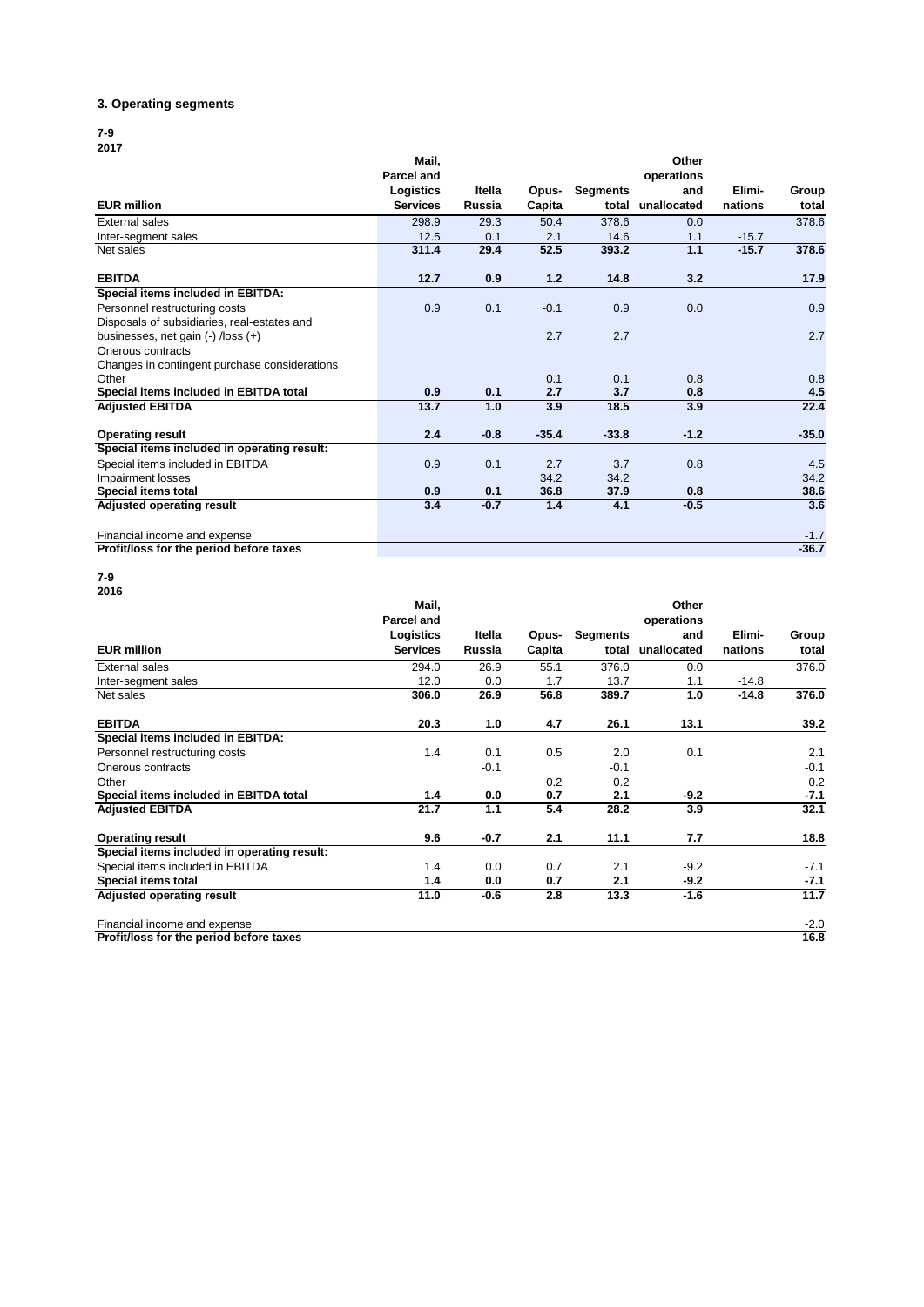#### **3. Operating segments**

#### **7-9 2017**

|                                               | Mail,           |        |         |                 | Other       |         |         |
|-----------------------------------------------|-----------------|--------|---------|-----------------|-------------|---------|---------|
|                                               | Parcel and      |        |         |                 | operations  |         |         |
|                                               | Logistics       | Itella | Opus-   | <b>Segments</b> | and         | Elimi-  | Group   |
| <b>EUR million</b>                            | <b>Services</b> | Russia | Capita  | total           | unallocated | nations | total   |
| External sales                                | 298.9           | 29.3   | 50.4    | 378.6           | 0.0         |         | 378.6   |
| Inter-segment sales                           | 12.5            | 0.1    | 2.1     | 14.6            | 1.1         | $-15.7$ |         |
| Net sales                                     | 311.4           | 29.4   | 52.5    | 393.2           | 1.1         | $-15.7$ | 378.6   |
| <b>EBITDA</b>                                 | 12.7            | 0.9    | $1.2$   | 14.8            | 3.2         |         | 17.9    |
| Special items included in EBITDA:             |                 |        |         |                 |             |         |         |
| Personnel restructuring costs                 | 0.9             | 0.1    | $-0.1$  | 0.9             | 0.0         |         | 0.9     |
| Disposals of subsidiaries, real-estates and   |                 |        |         |                 |             |         |         |
| businesses, net gain $(-)$ /loss $(+)$        |                 |        | 2.7     | 2.7             |             |         | 2.7     |
| Onerous contracts                             |                 |        |         |                 |             |         |         |
| Changes in contingent purchase considerations |                 |        |         |                 |             |         |         |
| Other                                         |                 |        | 0.1     | 0.1             | 0.8         |         | 0.8     |
| Special items included in EBITDA total        | 0.9             | 0.1    | 2.7     | 3.7             | 0.8         |         | 4.5     |
| <b>Adjusted EBITDA</b>                        | 13.7            | 1.0    | 3.9     | 18.5            | 3.9         |         | 22.4    |
| <b>Operating result</b>                       | 2.4             | $-0.8$ | $-35.4$ | $-33.8$         | $-1.2$      |         | $-35.0$ |
| Special items included in operating result:   |                 |        |         |                 |             |         |         |
| Special items included in EBITDA              | 0.9             | 0.1    | 2.7     | 3.7             | 0.8         |         | 4.5     |
| Impairment losses                             |                 |        | 34.2    | 34.2            |             |         | 34.2    |
| Special items total                           | 0.9             | 0.1    | 36.8    | 37.9            | 0.8         |         | 38.6    |
| Adjusted operating result                     | 3.4             | $-0.7$ | 1.4     | 4.1             | $-0.5$      |         | 3.6     |
| Financial income and expense                  |                 |        |         |                 |             |         | $-1.7$  |
| Profit/loss for the period before taxes       |                 |        |         |                 |             |         | $-36.7$ |

**7-9 2016**

|                                             | Mail,<br><b>Parcel and</b> |        |        |                 | Other             |         |        |
|---------------------------------------------|----------------------------|--------|--------|-----------------|-------------------|---------|--------|
|                                             | Logistics                  | Itella | Opus-  | <b>Segments</b> | operations<br>and | Elimi-  | Group  |
| <b>EUR million</b>                          | <b>Services</b>            | Russia | Capita | total           | unallocated       | nations | total  |
| <b>External sales</b>                       | 294.0                      | 26.9   | 55.1   | 376.0           | 0.0               |         | 376.0  |
| Inter-segment sales                         | 12.0                       | 0.0    | 1.7    | 13.7            | 1.1               | $-14.8$ |        |
| Net sales                                   | 306.0                      | 26.9   | 56.8   | 389.7           | 1.0               | $-14.8$ | 376.0  |
| <b>EBITDA</b>                               | 20.3                       | 1.0    | 4.7    | 26.1            | 13.1              |         | 39.2   |
| Special items included in EBITDA:           |                            |        |        |                 |                   |         |        |
| Personnel restructuring costs               | 1.4                        | 0.1    | 0.5    | 2.0             | 0.1               |         | 2.1    |
| Onerous contracts                           |                            | $-0.1$ |        | $-0.1$          |                   |         | $-0.1$ |
| Other                                       |                            |        | 0.2    | 0.2             |                   |         | 0.2    |
| Special items included in EBITDA total      | 1.4                        | 0.0    | 0.7    | 2.1             | -9.2              |         | $-7.1$ |
| <b>Adjusted EBITDA</b>                      | 21.7                       | 1.1    | 5.4    | 28.2            | 3.9               |         | 32.1   |
| <b>Operating result</b>                     | 9.6                        | $-0.7$ | 2.1    | 11.1            | 7.7               |         | 18.8   |
| Special items included in operating result: |                            |        |        |                 |                   |         |        |
| Special items included in EBITDA            | 1.4                        | 0.0    | 0.7    | 2.1             | $-9.2$            |         | $-7.1$ |
| Special items total                         | 1.4                        | 0.0    | 0.7    | 2.1             | -9.2              |         | $-7.1$ |
| <b>Adjusted operating result</b>            | 11.0                       | $-0.6$ | 2.8    | 13.3            | $-1.6$            |         | 11.7   |
| Financial income and expense                |                            |        |        |                 |                   |         | $-2.0$ |
| Profit/loss for the period before taxes     |                            |        |        |                 |                   |         | 16.8   |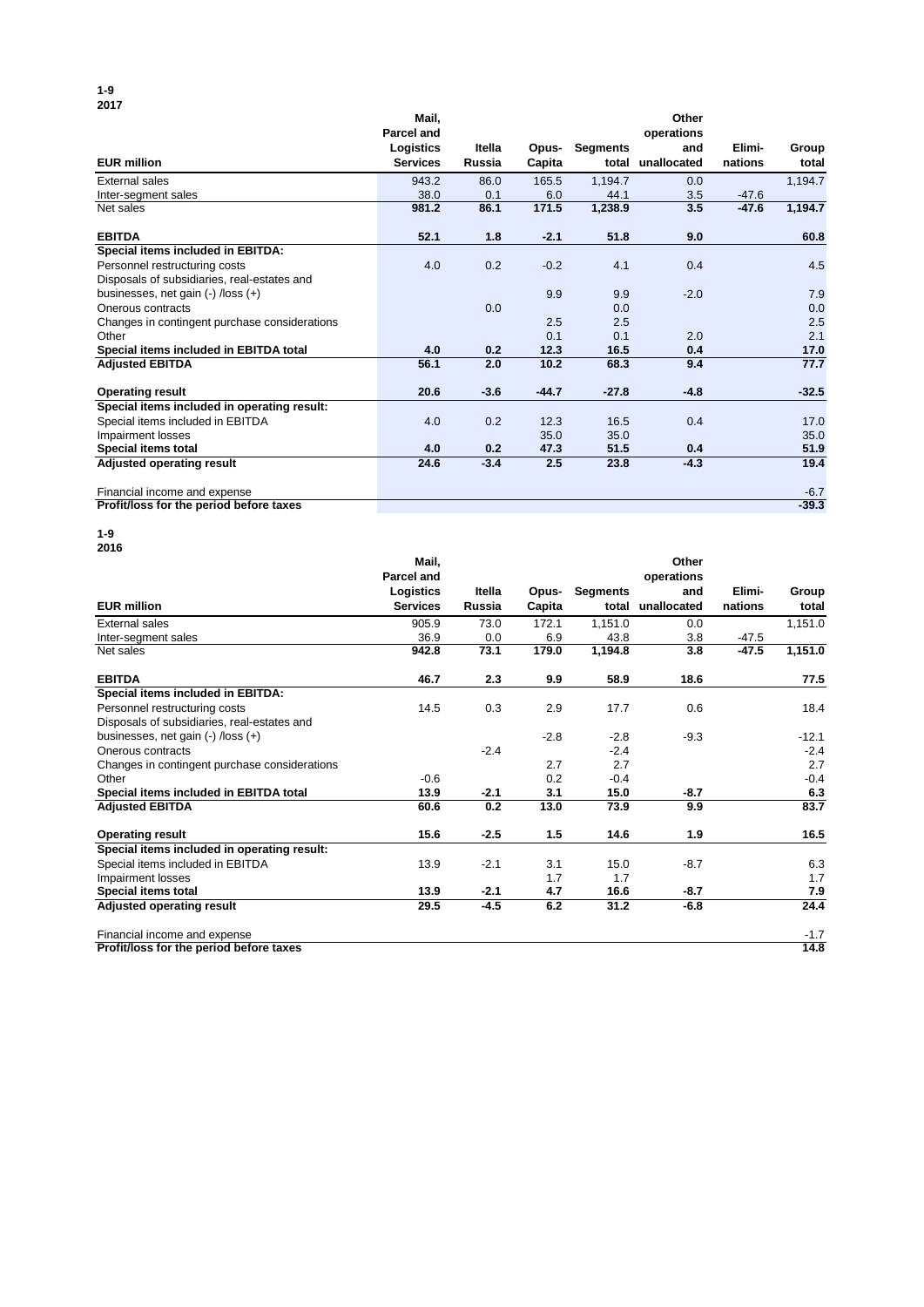#### **1-9 2017**

| <b>2017</b>                                   |                   |               |         |                 |             |         |         |
|-----------------------------------------------|-------------------|---------------|---------|-----------------|-------------|---------|---------|
|                                               | Mail.             |               |         |                 | Other       |         |         |
|                                               | <b>Parcel and</b> |               |         |                 | operations  |         |         |
|                                               | Logistics         | Itella        | Opus-   | <b>Segments</b> | and         | Elimi-  | Group   |
| <b>EUR million</b>                            | <b>Services</b>   | <b>Russia</b> | Capita  | total           | unallocated | nations | total   |
| External sales                                | 943.2             | 86.0          | 165.5   | 1,194.7         | 0.0         |         | 1,194.7 |
| Inter-segment sales                           | 38.0              | 0.1           | 6.0     | 44.1            | 3.5         | $-47.6$ |         |
| Net sales                                     | 981.2             | 86.1          | 171.5   | 1,238.9         | 3.5         | $-47.6$ | 1,194.7 |
| <b>EBITDA</b>                                 | 52.1              | 1.8           | $-2.1$  | 51.8            | 9.0         |         | 60.8    |
| Special items included in EBITDA:             |                   |               |         |                 |             |         |         |
| Personnel restructuring costs                 | 4.0               | 0.2           | $-0.2$  | 4.1             | 0.4         |         | 4.5     |
| Disposals of subsidiaries, real-estates and   |                   |               |         |                 |             |         |         |
| businesses, net gain (-) /loss (+)            |                   |               | 9.9     | 9.9             | $-2.0$      |         | 7.9     |
| Onerous contracts                             |                   | 0.0           |         | 0.0             |             |         | 0.0     |
| Changes in contingent purchase considerations |                   |               | 2.5     | 2.5             |             |         | 2.5     |
| Other                                         |                   |               | 0.1     | 0.1             | 2.0         |         | 2.1     |
| Special items included in EBITDA total        | 4.0               | 0.2           | 12.3    | 16.5            | 0.4         |         | 17.0    |
| <b>Adjusted EBITDA</b>                        | 56.1              | 2.0           | 10.2    | 68.3            | 9.4         |         | 77.7    |
| <b>Operating result</b>                       | 20.6              | $-3.6$        | $-44.7$ | $-27.8$         | $-4.8$      |         | $-32.5$ |
| Special items included in operating result:   |                   |               |         |                 |             |         |         |
| Special items included in EBITDA              | 4.0               | 0.2           | 12.3    | 16.5            | 0.4         |         | 17.0    |
| Impairment losses                             |                   |               | 35.0    | 35.0            |             |         | 35.0    |
| Special items total                           | 4.0               | 0.2           | 47.3    | 51.5            | 0.4         |         | 51.9    |
| Adjusted operating result                     | 24.6              | $-3.4$        | 2.5     | 23.8            | $-4.3$      |         | 19.4    |
| Financial income and expense                  |                   |               |         |                 |             |         | $-6.7$  |
| Profit/loss for the period before taxes       |                   |               |         |                 |             |         | $-39.3$ |

**1-9**

| 2016                                          |                            |               |        |                 |                     |         |         |
|-----------------------------------------------|----------------------------|---------------|--------|-----------------|---------------------|---------|---------|
|                                               | Mail,<br><b>Parcel and</b> |               |        |                 | Other<br>operations |         |         |
|                                               | Logistics                  | Itella        | Opus-  | <b>Segments</b> | and                 | Elimi-  | Group   |
| <b>EUR million</b>                            | <b>Services</b>            | <b>Russia</b> | Capita | total           | unallocated         | nations | total   |
| <b>External sales</b>                         | 905.9                      | 73.0          | 172.1  | 1,151.0         | 0.0                 |         | 1,151.0 |
| Inter-segment sales                           | 36.9                       | 0.0           | 6.9    | 43.8            | 3.8                 | $-47.5$ |         |
| Net sales                                     | 942.8                      | 73.1          | 179.0  | 1,194.8         | 3.8                 | $-47.5$ | 1,151.0 |
| <b>EBITDA</b>                                 | 46.7                       | 2.3           | 9.9    | 58.9            | 18.6                |         | 77.5    |
| Special items included in EBITDA:             |                            |               |        |                 |                     |         |         |
| Personnel restructuring costs                 | 14.5                       | 0.3           | 2.9    | 17.7            | 0.6                 |         | 18.4    |
| Disposals of subsidiaries, real-estates and   |                            |               |        |                 |                     |         |         |
| businesses, net gain $(-)$ /loss $(+)$        |                            |               | $-2.8$ | $-2.8$          | $-9.3$              |         | $-12.1$ |
| Onerous contracts                             |                            | $-2.4$        |        | $-2.4$          |                     |         | $-2.4$  |
| Changes in contingent purchase considerations |                            |               | 2.7    | 2.7             |                     |         | 2.7     |
| Other                                         | $-0.6$                     |               | 0.2    | $-0.4$          |                     |         | $-0.4$  |
| Special items included in EBITDA total        | 13.9                       | $-2.1$        | 3.1    | 15.0            | $-8.7$              |         | 6.3     |
| <b>Adjusted EBITDA</b>                        | 60.6                       | 0.2           | 13.0   | 73.9            | 9.9                 |         | 83.7    |
| <b>Operating result</b>                       | 15.6                       | $-2.5$        | 1.5    | 14.6            | 1.9                 |         | 16.5    |
| Special items included in operating result:   |                            |               |        |                 |                     |         |         |
| Special items included in EBITDA              | 13.9                       | $-2.1$        | 3.1    | 15.0            | $-8.7$              |         | 6.3     |
| Impairment losses                             |                            |               | 1.7    | 1.7             |                     |         | 1.7     |
| Special items total                           | 13.9                       | $-2.1$        | 4.7    | 16.6            | $-8.7$              |         | 7.9     |
| <b>Adjusted operating result</b>              | 29.5                       | $-4.5$        | 6.2    | 31.2            | $-6.8$              |         | 24.4    |
| Financial income and expense                  |                            |               |        |                 |                     |         | $-1.7$  |
| Profit/loss for the period before taxes       |                            |               |        |                 |                     |         | 14.8    |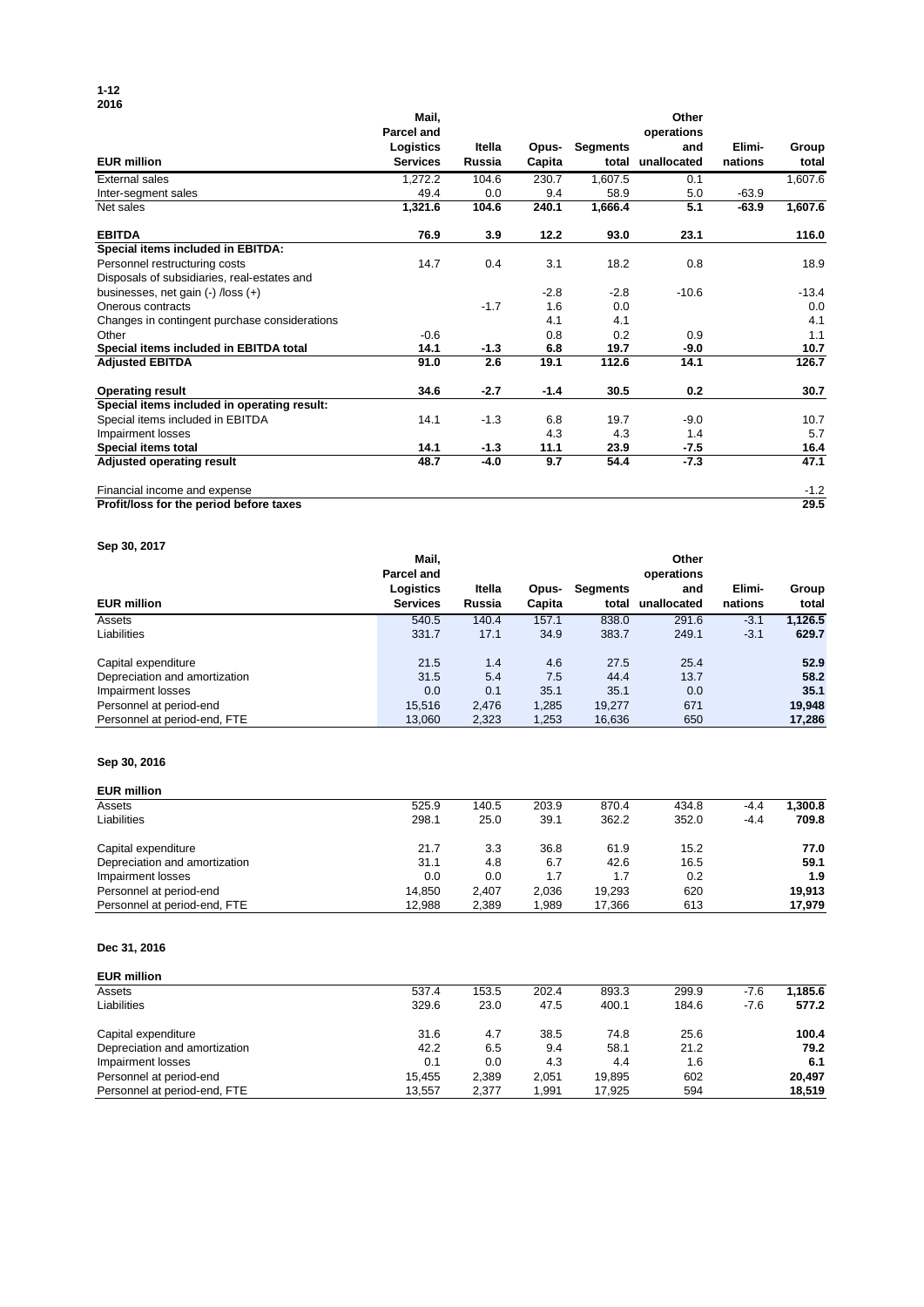#### **1-12 2016**

|                                               | Mail,<br>Parcel and |        |        |                 | Other<br>operations |         |         |
|-----------------------------------------------|---------------------|--------|--------|-----------------|---------------------|---------|---------|
|                                               | Logistics           | Itella | Opus-  | <b>Segments</b> | and                 | Elimi-  | Group   |
| <b>EUR million</b>                            | <b>Services</b>     | Russia | Capita | total           | unallocated         | nations | total   |
| External sales                                | 1,272.2             | 104.6  | 230.7  | 1,607.5         | 0.1                 |         | 1,607.6 |
| Inter-segment sales                           | 49.4                | 0.0    | 9.4    | 58.9            | 5.0                 | $-63.9$ |         |
| Net sales                                     | 1,321.6             | 104.6  | 240.1  | 1,666.4         | 5.1                 | -63.9   | 1,607.6 |
| <b>EBITDA</b>                                 | 76.9                | 3.9    | 12.2   | 93.0            | 23.1                |         | 116.0   |
| Special items included in EBITDA:             |                     |        |        |                 |                     |         |         |
| Personnel restructuring costs                 | 14.7                | 0.4    | 3.1    | 18.2            | 0.8                 |         | 18.9    |
| Disposals of subsidiaries, real-estates and   |                     |        |        |                 |                     |         |         |
| businesses, net gain $(-)$ /loss $(+)$        |                     |        | $-2.8$ | $-2.8$          | $-10.6$             |         | $-13.4$ |
| Onerous contracts                             |                     | $-1.7$ | 1.6    | 0.0             |                     |         | 0.0     |
| Changes in contingent purchase considerations |                     |        | 4.1    | 4.1             |                     |         | 4.1     |
| Other                                         | $-0.6$              |        | 0.8    | 0.2             | 0.9                 |         | 1.1     |
| Special items included in EBITDA total        | 14.1                | $-1.3$ | 6.8    | 19.7            | $-9.0$              |         | 10.7    |
| <b>Adjusted EBITDA</b>                        | 91.0                | 2.6    | 19.1   | 112.6           | 14.1                |         | 126.7   |
| <b>Operating result</b>                       | 34.6                | $-2.7$ | $-1.4$ | 30.5            | 0.2                 |         | 30.7    |
| Special items included in operating result:   |                     |        |        |                 |                     |         |         |
| Special items included in EBITDA              | 14.1                | $-1.3$ | 6.8    | 19.7            | $-9.0$              |         | 10.7    |
| Impairment losses                             |                     |        | 4.3    | 4.3             | 1.4                 |         | 5.7     |
| <b>Special items total</b>                    | 14.1                | $-1.3$ | 11.1   | 23.9            | -7.5                |         | 16.4    |
| Adjusted operating result                     | 48.7                | $-4.0$ | 9.7    | 54.4            | $-7.3$              |         | 47.1    |
| Financial income and expense                  |                     |        |        |                 |                     |         | $-1.2$  |

**Profit/loss for the period before taxes 29.5**

**Sep 30, 2017**

|                               | Mail.<br><b>Parcel and</b>   |                  |                 |                          | Other<br>operations |                   |                |
|-------------------------------|------------------------------|------------------|-----------------|--------------------------|---------------------|-------------------|----------------|
| <b>EUR million</b>            | Logistics<br><b>Services</b> | Itella<br>Russia | Opus-<br>Capita | <b>Segments</b><br>total | and<br>unallocated  | Elimi-<br>nations | Group<br>total |
| Assets                        | 540.5                        | 140.4            | 157.1           | 838.0                    | 291.6               | $-3.1$            | 1.126.5        |
| Liabilities                   | 331.7                        | 17.1             | 34.9            | 383.7                    | 249.1               | $-3.1$            | 629.7          |
| Capital expenditure           | 21.5                         | 1.4              | 4.6             | 27.5                     | 25.4                |                   | 52.9           |
| Depreciation and amortization | 31.5                         | 5.4              | 7.5             | 44.4                     | 13.7                |                   | 58.2           |
| Impairment losses             | 0.0                          | 0.1              | 35.1            | 35.1                     | 0.0                 |                   | 35.1           |
| Personnel at period-end       | 15,516                       | 2.476            | 1,285           | 19,277                   | 671                 |                   | 19,948         |
| Personnel at period-end, FTE  | 13,060                       | 2,323            | 1,253           | 16,636                   | 650                 |                   | 17,286         |

### **Sep 30, 2016**

| <b>EUR million</b>            |        |       |       |        |       |        |         |
|-------------------------------|--------|-------|-------|--------|-------|--------|---------|
| Assets                        | 525.9  | 140.5 | 203.9 | 870.4  | 434.8 | $-4.4$ | 1.300.8 |
| Liabilities                   | 298.1  | 25.0  | 39.1  | 362.2  | 352.0 | -4.4   | 709.8   |
| Capital expenditure           | 21.7   | 3.3   | 36.8  | 61.9   | 15.2  |        | 77.0    |
| Depreciation and amortization | 31.1   | 4.8   | 6.7   | 42.6   | 16.5  |        | 59.1    |
| Impairment losses             | 0.0    | 0.0   | 1.7   | 1.7    | 0.2   |        | 1.9     |
| Personnel at period-end       | 14.850 | 2.407 | 2.036 | 19.293 | 620   |        | 19.913  |
| Personnel at period-end, FTE  | 12.988 | 2.389 | 1.989 | 17.366 | 613   |        | 17.979  |

### **Dec 31, 2016**

| <b>EUR million</b>            |        |       |       |        |       |      |         |
|-------------------------------|--------|-------|-------|--------|-------|------|---------|
| Assets                        | 537.4  | 153.5 | 202.4 | 893.3  | 299.9 | -7.6 | 1.185.6 |
| Liabilities                   | 329.6  | 23.0  | 47.5  | 400.1  | 184.6 | -7.6 | 577.2   |
| Capital expenditure           | 31.6   | 4.7   | 38.5  | 74.8   | 25.6  |      | 100.4   |
| Depreciation and amortization | 42.2   | 6.5   | 9.4   | 58.1   | 21.2  |      | 79.2    |
| Impairment losses             | 0.1    | 0.0   | 4.3   | 4.4    | 1.6   |      | 6.1     |
| Personnel at period-end       | 15.455 | 2.389 | 2.051 | 19,895 | 602   |      | 20.497  |
| Personnel at period-end, FTE  | 13.557 | 2.377 | 1.991 | 17.925 | 594   |      | 18,519  |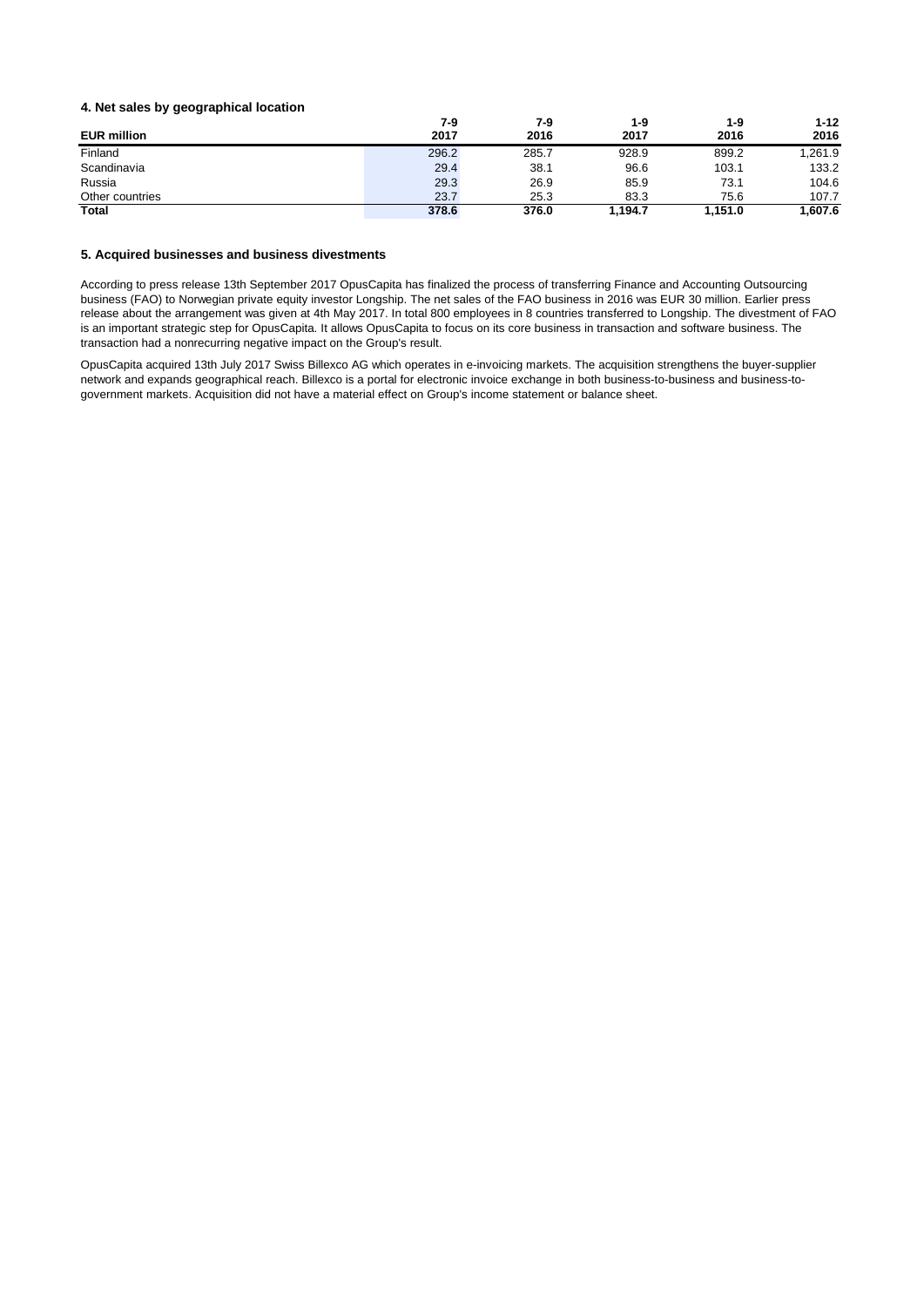#### **4. Net sales by geographical location**

|                    | 7-9   | 7-9   | 1-9     | $1 - 9$ | $1 - 12$ |
|--------------------|-------|-------|---------|---------|----------|
| <b>EUR million</b> | 2017  | 2016  | 2017    | 2016    | 2016     |
| Finland            | 296.2 | 285.7 | 928.9   | 899.2   | 1,261.9  |
| Scandinavia        | 29.4  | 38.1  | 96.6    | 103.1   | 133.2    |
| Russia             | 29.3  | 26.9  | 85.9    | 73.1    | 104.6    |
| Other countries    | 23.7  | 25.3  | 83.3    | 75.6    | 107.7    |
| <b>Total</b>       | 378.6 | 376.0 | 1.194.7 | 1.151.0 | 1.607.6  |

#### **5. Acquired businesses and business divestments**

According to press release 13th September 2017 OpusCapita has finalized the process of transferring Finance and Accounting Outsourcing business (FAO) to Norwegian private equity investor Longship. The net sales of the FAO business in 2016 was EUR 30 million. Earlier press release about the arrangement was given at 4th May 2017. In total 800 employees in 8 countries transferred to Longship. The divestment of FAO is an important strategic step for OpusCapita. It allows OpusCapita to focus on its core business in transaction and software business. The transaction had a nonrecurring negative impact on the Group's result.

OpusCapita acquired 13th July 2017 Swiss Billexco AG which operates in e-invoicing markets. The acquisition strengthens the buyer-supplier network and expands geographical reach. Billexco is a portal for electronic invoice exchange in both business-to-business and business-togovernment markets. Acquisition did not have a material effect on Group's income statement or balance sheet.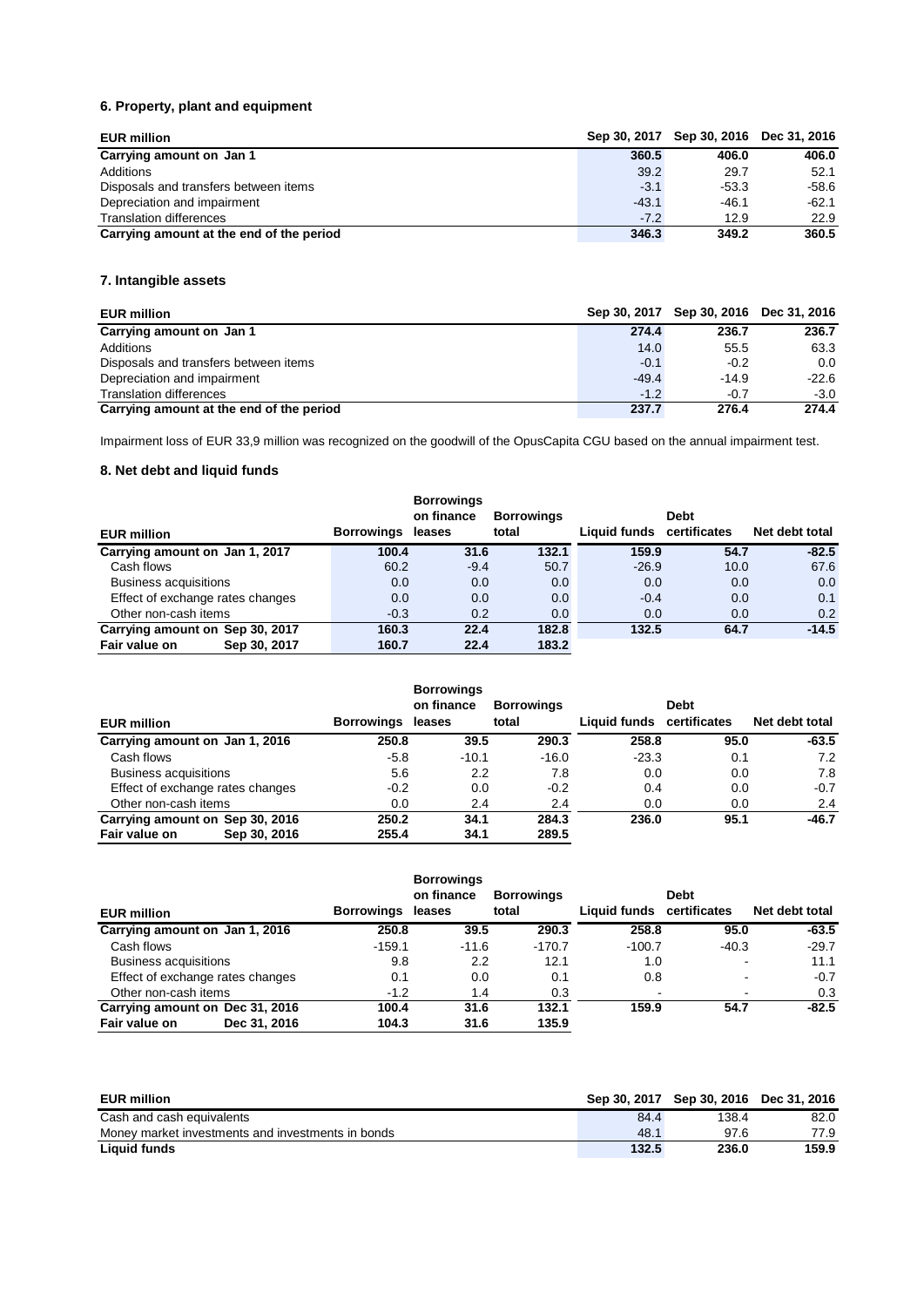# **6. Property, plant and equipment**

| <b>EUR million</b>                       |         | Sep 30, 2017 Sep 30, 2016 Dec 31, 2016 |         |
|------------------------------------------|---------|----------------------------------------|---------|
| Carrying amount on Jan 1                 | 360.5   | 406.0                                  | 406.0   |
| Additions                                | 39.2    | 29.7                                   | 52.1    |
| Disposals and transfers between items    | $-3.1$  | $-53.3$                                | $-58.6$ |
| Depreciation and impairment              | $-43.1$ | $-46.1$                                | $-62.1$ |
| <b>Translation differences</b>           | $-7.2$  | 12.9                                   | 22.9    |
| Carrying amount at the end of the period | 346.3   | 349.2                                  | 360.5   |

# **7. Intangible assets**

| <b>EUR million</b>                       |         | Sep 30, 2017 Sep 30, 2016 Dec 31, 2016 |         |
|------------------------------------------|---------|----------------------------------------|---------|
| Carrying amount on Jan 1                 | 274.4   | 236.7                                  | 236.7   |
| Additions                                | 14.0    | 55.5                                   | 63.3    |
| Disposals and transfers between items    | $-0.1$  | $-0.2$                                 | 0.0     |
| Depreciation and impairment              | $-49.4$ | $-14.9$                                | $-22.6$ |
| <b>Translation differences</b>           | $-1.2$  | $-0.7$                                 | $-3.0$  |
| Carrying amount at the end of the period | 237.7   | 276.4                                  | 274.4   |

Impairment loss of EUR 33,9 million was recognized on the goodwill of the OpusCapita CGU based on the annual impairment test.

### **8. Net debt and liquid funds**

|                                  |                   | <b>Borrowings</b> |                   |                           |             |                |
|----------------------------------|-------------------|-------------------|-------------------|---------------------------|-------------|----------------|
|                                  |                   | on finance        | <b>Borrowings</b> |                           | <b>Debt</b> |                |
| <b>EUR million</b>               | <b>Borrowings</b> | leases            | total             | Liquid funds certificates |             | Net debt total |
| Carrying amount on Jan 1, 2017   | 100.4             | 31.6              | 132.1             | 159.9                     | 54.7        | $-82.5$        |
| Cash flows                       | 60.2              | $-9.4$            | 50.7              | $-26.9$                   | 10.0        | 67.6           |
| <b>Business acquisitions</b>     | 0.0               | 0.0               | 0.0               | 0.0                       | 0.0         | 0.0            |
| Effect of exchange rates changes | 0.0               | 0.0               | 0.0               | $-0.4$                    | 0.0         | 0.1            |
| Other non-cash items             | $-0.3$            | 0.2               | 0.0               | 0.0                       | 0.0         | 0.2            |
| Carrying amount on Sep 30, 2017  | 160.3             | 22.4              | 182.8             | 132.5                     | 64.7        | $-14.5$        |
| Fair value on<br>Sep 30, 2017    | 160.7             | 22.4              | 183.2             |                           |             |                |

| <b>EUR million</b>               |              | <b>Borrowings</b> | <b>Borrowings</b><br>on finance<br>leases | <b>Borrowings</b><br>total | Liquid funds certificates | <b>Debt</b> | Net debt total |
|----------------------------------|--------------|-------------------|-------------------------------------------|----------------------------|---------------------------|-------------|----------------|
| Carrying amount on Jan 1, 2016   |              | 250.8             | 39.5                                      | 290.3                      | 258.8                     | 95.0        | $-63.5$        |
| Cash flows                       |              | $-5.8$            | $-10.1$                                   | $-16.0$                    | $-23.3$                   | 0.1         | 7.2            |
| <b>Business acquisitions</b>     |              | 5.6               | 2.2                                       | 7.8                        | 0.0                       | 0.0         | 7.8            |
| Effect of exchange rates changes |              | $-0.2$            | 0.0                                       | $-0.2$                     | 0.4                       | 0.0         | $-0.7$         |
| Other non-cash items             |              | 0.0               | 2.4                                       | 2.4                        | 0.0                       | 0.0         | 2.4            |
| Carrying amount on Sep 30, 2016  |              | 250.2             | 34.1                                      | 284.3                      | 236.0                     | 95.1        | $-46.7$        |
| Fair value on                    | Sep 30, 2016 | 255.4             | 34.1                                      | 289.5                      |                           |             |                |

|                                  |                   | <b>Borrowings</b> |                   |                           |                |                |
|----------------------------------|-------------------|-------------------|-------------------|---------------------------|----------------|----------------|
|                                  |                   | on finance        | <b>Borrowings</b> |                           | <b>Debt</b>    |                |
| <b>EUR million</b>               | <b>Borrowings</b> | leases            | total             | Liquid funds certificates |                | Net debt total |
| Carrying amount on Jan 1, 2016   | 250.8             | 39.5              | 290.3             | 258.8                     | 95.0           | $-63.5$        |
| Cash flows                       | $-159.1$          | $-11.6$           | $-170.7$          | $-100.7$                  | $-40.3$        | $-29.7$        |
| <b>Business acquisitions</b>     | 9.8               | 2.2               | 12.1              | 1.0                       | $\blacksquare$ | 11.1           |
| Effect of exchange rates changes | 0.1               | 0.0               | 0.1               | 0.8                       | $\blacksquare$ | $-0.7$         |
| Other non-cash items             | $-1.2$            | 1.4               | 0.3               | $\overline{\phantom{a}}$  | $\blacksquare$ | 0.3            |
| Carrying amount on Dec 31, 2016  | 100.4             | 31.6              | 132.1             | 159.9                     | 54.7           | $-82.5$        |
| Fair value on<br>Dec 31, 2016    | 104.3             | 31.6              | 135.9             |                           |                |                |

| <b>EUR million</b>                                |       | Sep 30, 2017 Sep 30, 2016 Dec 31, 2016 |       |
|---------------------------------------------------|-------|----------------------------------------|-------|
| Cash and cash equivalents                         | 84.4  | 138.4                                  | 82.0  |
| Money market investments and investments in bonds | 48.1  | 97.6                                   | 77.9  |
| <b>Liquid funds</b>                               | 132.5 | 236.0                                  | 159.9 |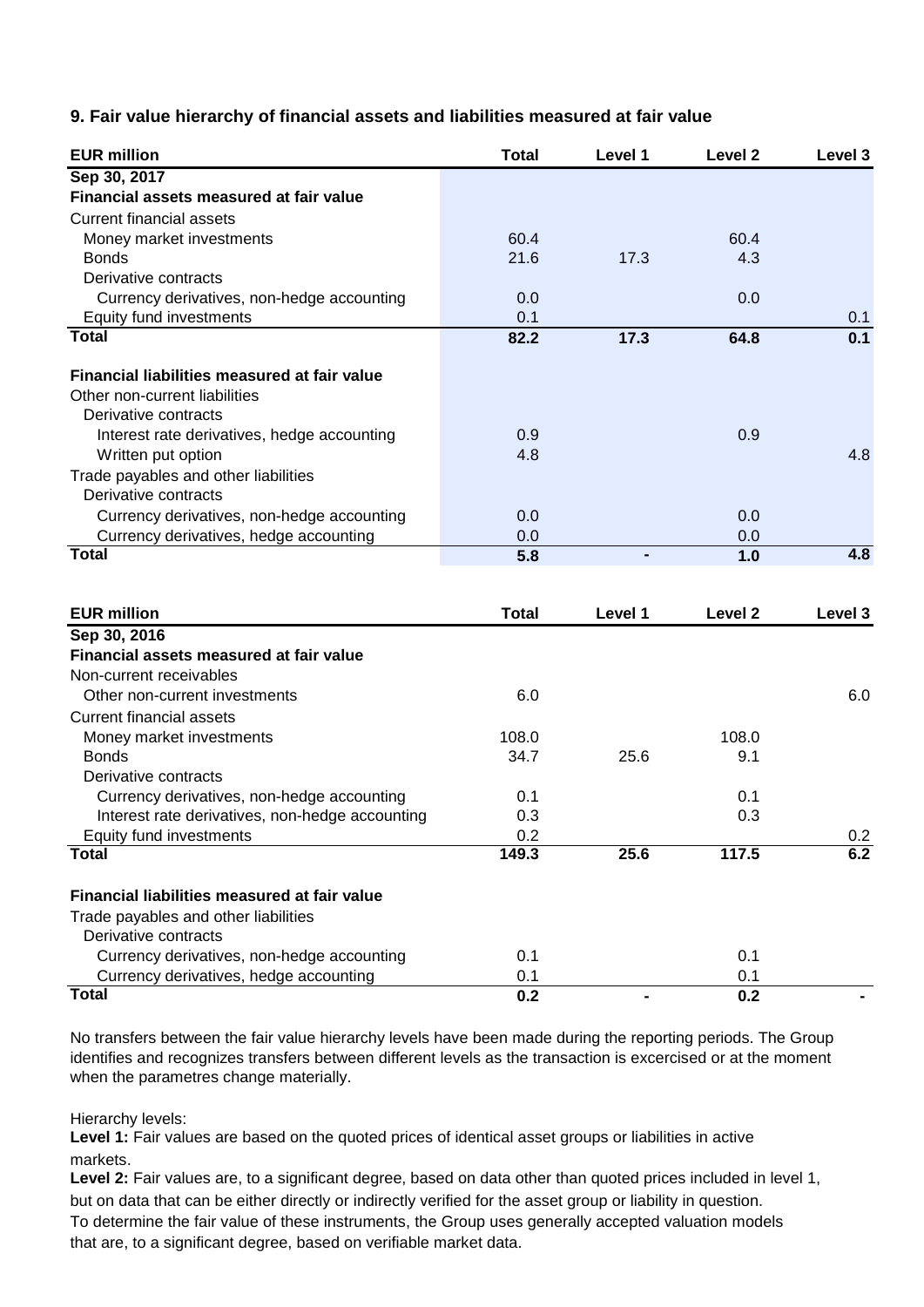# **9. Fair value hierarchy of financial assets and liabilities measured at fair value**

| <b>EUR million</b>                              | <b>Total</b> | Level 1        | Level 2 | Level 3          |
|-------------------------------------------------|--------------|----------------|---------|------------------|
| Sep 30, 2017                                    |              |                |         |                  |
| Financial assets measured at fair value         |              |                |         |                  |
| <b>Current financial assets</b>                 |              |                |         |                  |
| Money market investments                        | 60.4         |                | 60.4    |                  |
| <b>Bonds</b>                                    | 21.6         | 17.3           | 4.3     |                  |
| Derivative contracts                            |              |                |         |                  |
| Currency derivatives, non-hedge accounting      | 0.0          |                | 0.0     |                  |
| Equity fund investments                         | 0.1          |                |         | 0.1              |
| <b>Total</b>                                    | 82.2         | 17.3           | 64.8    | 0.1              |
| Financial liabilities measured at fair value    |              |                |         |                  |
| Other non-current liabilities                   |              |                |         |                  |
| Derivative contracts                            |              |                |         |                  |
| Interest rate derivatives, hedge accounting     | 0.9          |                | 0.9     |                  |
| Written put option                              | 4.8          |                |         | 4.8              |
| Trade payables and other liabilities            |              |                |         |                  |
| Derivative contracts                            |              |                |         |                  |
| Currency derivatives, non-hedge accounting      | 0.0          |                | 0.0     |                  |
| Currency derivatives, hedge accounting          | 0.0          |                | 0.0     |                  |
| <b>Total</b>                                    | 5.8          |                | 1.0     | $\overline{4.8}$ |
|                                                 |              |                |         |                  |
| <b>EUR million</b>                              | <b>Total</b> | Level 1        | Level 2 | Level 3          |
| Sep 30, 2016                                    |              |                |         |                  |
| Financial assets measured at fair value         |              |                |         |                  |
| Non-current receivables                         |              |                |         |                  |
| Other non-current investments                   | 6.0          |                |         | 6.0              |
| <b>Current financial assets</b>                 |              |                |         |                  |
| Money market investments                        | 108.0        |                | 108.0   |                  |
| <b>Bonds</b>                                    | 34.7         | 25.6           | 9.1     |                  |
| Derivative contracts                            |              |                |         |                  |
| Currency derivatives, non-hedge accounting      | 0.1          |                | 0.1     |                  |
| Interest rate derivatives, non-hedge accounting | 0.3          |                | 0.3     |                  |
| Equity fund investments                         | 0.2          |                |         | 0.2              |
| <b>Total</b>                                    | 149.3        | 25.6           | 117.5   | 6.2              |
|                                                 |              |                |         |                  |
| Financial liabilities measured at fair value    |              |                |         |                  |
| Trade payables and other liabilities            |              |                |         |                  |
| Derivative contracts                            |              |                |         |                  |
| Currency derivatives, non-hedge accounting      | 0.1          |                | 0.1     |                  |
| Currency derivatives, hedge accounting          | 0.1          |                | 0.1     |                  |
| <b>Total</b>                                    | 0.2          | $\blacksquare$ | 0.2     |                  |

No transfers between the fair value hierarchy levels have been made during the reporting periods. The Group identifies and recognizes transfers between different levels as the transaction is excercised or at the moment when the parametres change materially.

Hierarchy levels:

**Level 1:** Fair values are based on the quoted prices of identical asset groups or liabilities in active markets.

Level 2: Fair values are, to a significant degree, based on data other than quoted prices included in level 1, but on data that can be either directly or indirectly verified for the asset group or liability in question. To determine the fair value of these instruments, the Group uses generally accepted valuation models that are, to a significant degree, based on verifiable market data.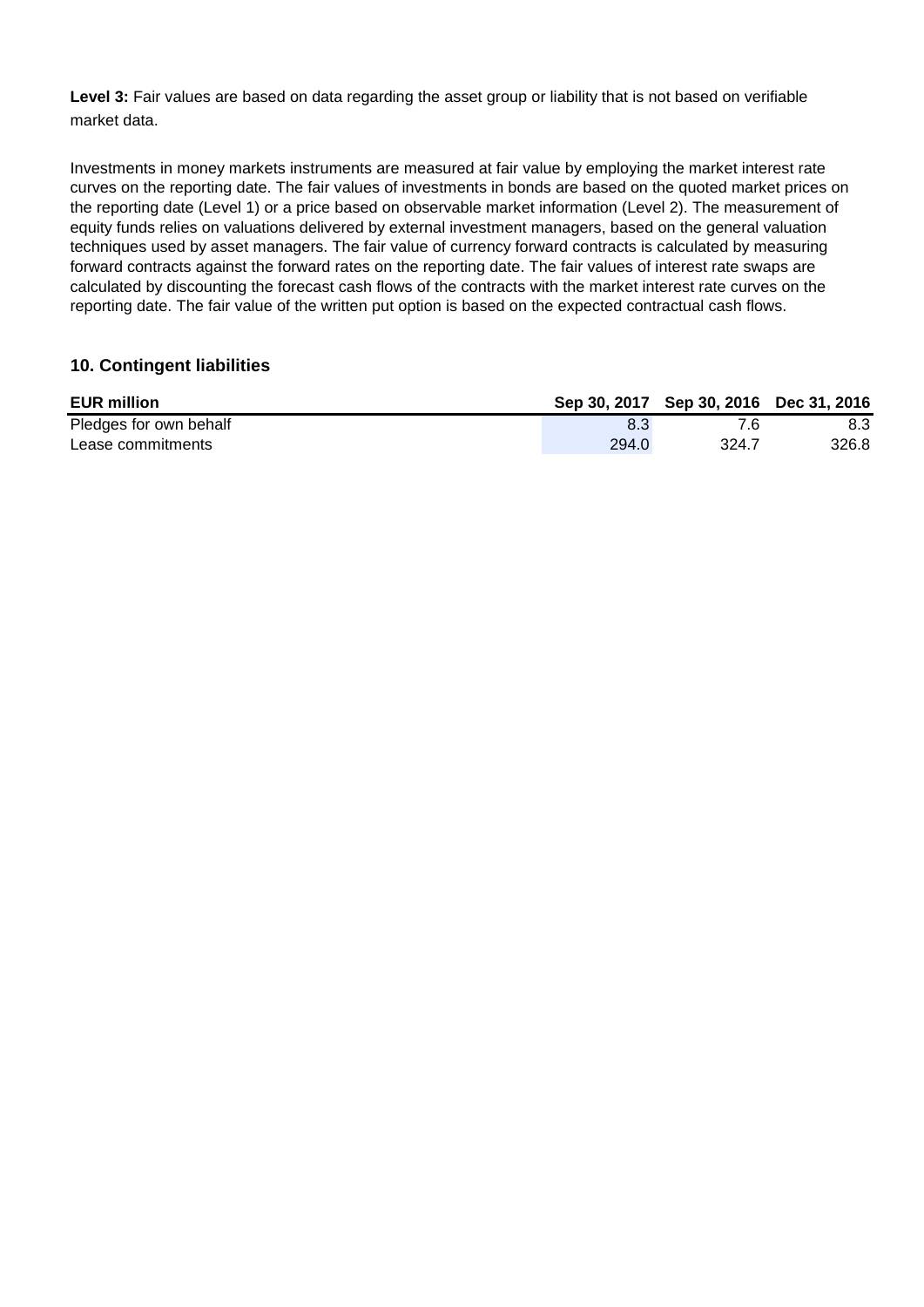Level 3: Fair values are based on data regarding the asset group or liability that is not based on verifiable market data.

Investments in money markets instruments are measured at fair value by employing the market interest rate curves on the reporting date. The fair values of investments in bonds are based on the quoted market prices on the reporting date (Level 1) or a price based on observable market information (Level 2). The measurement of equity funds relies on valuations delivered by external investment managers, based on the general valuation techniques used by asset managers. The fair value of currency forward contracts is calculated by measuring forward contracts against the forward rates on the reporting date. The fair values of interest rate swaps are calculated by discounting the forecast cash flows of the contracts with the market interest rate curves on the reporting date. The fair value of the written put option is based on the expected contractual cash flows.

# **10. Contingent liabilities**

| <b>EUR million</b>     |       | Sep 30, 2017 Sep 30, 2016 Dec 31, 2016 |       |
|------------------------|-------|----------------------------------------|-------|
| Pledges for own behalf |       | 7.6                                    | 8.3   |
| Lease commitments      | 294.0 | 324.7                                  | 326.8 |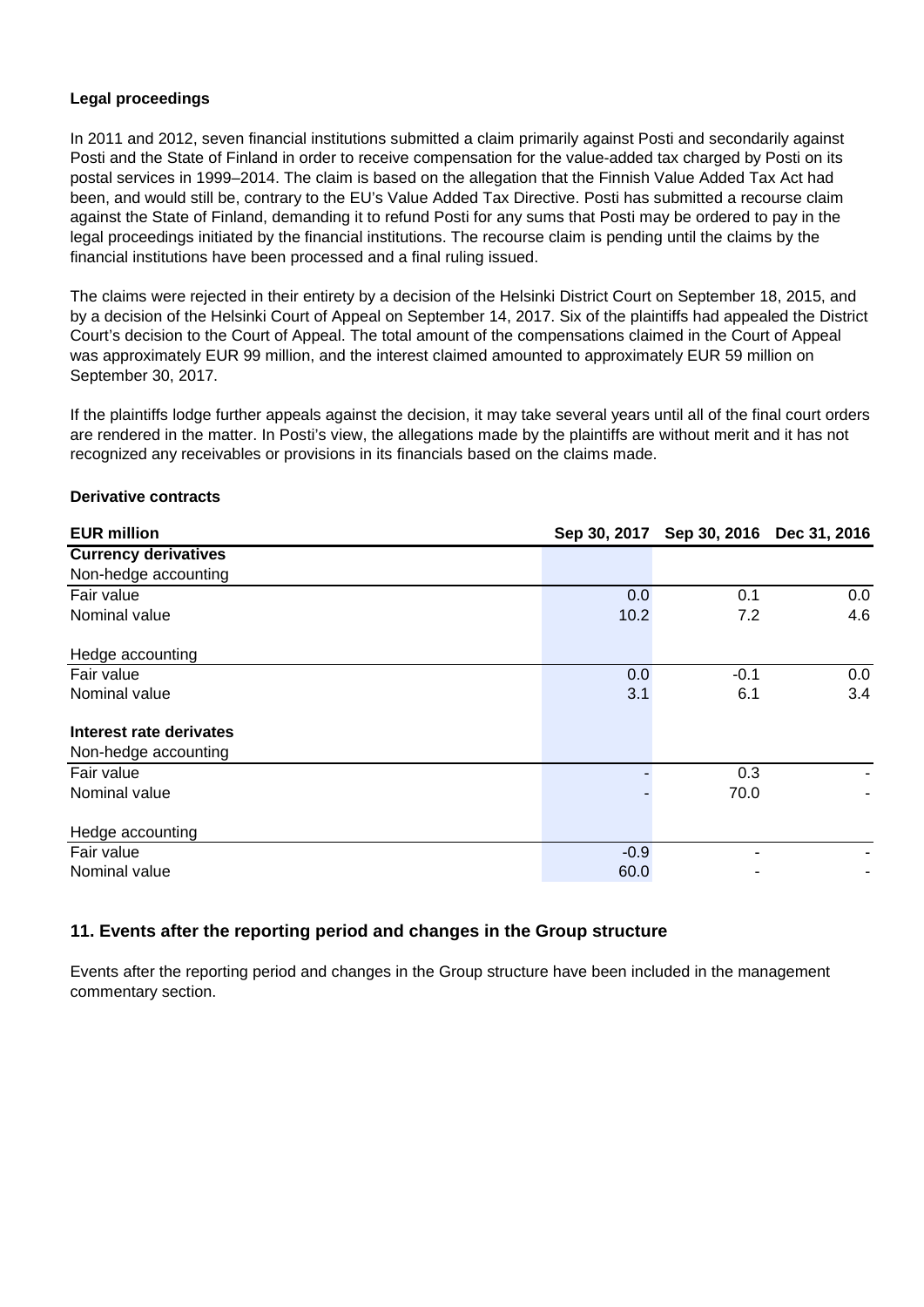# **Legal proceedings**

In 2011 and 2012, seven financial institutions submitted a claim primarily against Posti and secondarily against Posti and the State of Finland in order to receive compensation for the value-added tax charged by Posti on its postal services in 1999–2014. The claim is based on the allegation that the Finnish Value Added Tax Act had been, and would still be, contrary to the EU's Value Added Tax Directive. Posti has submitted a recourse claim against the State of Finland, demanding it to refund Posti for any sums that Posti may be ordered to pay in the legal proceedings initiated by the financial institutions. The recourse claim is pending until the claims by the financial institutions have been processed and a final ruling issued.

The claims were rejected in their entirety by a decision of the Helsinki District Court on September 18, 2015, and by a decision of the Helsinki Court of Appeal on September 14, 2017. Six of the plaintiffs had appealed the District Court's decision to the Court of Appeal. The total amount of the compensations claimed in the Court of Appeal was approximately EUR 99 million, and the interest claimed amounted to approximately EUR 59 million on September 30, 2017.

If the plaintiffs lodge further appeals against the decision, it may take several years until all of the final court orders are rendered in the matter. In Posti's view, the allegations made by the plaintiffs are without merit and it has not recognized any receivables or provisions in its financials based on the claims made.

| <b>EUR million</b>             |        | Sep 30, 2017 Sep 30, 2016 Dec 31, 2016 |     |
|--------------------------------|--------|----------------------------------------|-----|
| <b>Currency derivatives</b>    |        |                                        |     |
| Non-hedge accounting           |        |                                        |     |
| Fair value                     | 0.0    | 0.1                                    | 0.0 |
| Nominal value                  | 10.2   | 7.2                                    | 4.6 |
| Hedge accounting               |        |                                        |     |
| Fair value                     | 0.0    | $-0.1$                                 | 0.0 |
| Nominal value                  | 3.1    | 6.1                                    | 3.4 |
| <b>Interest rate derivates</b> |        |                                        |     |
| Non-hedge accounting           |        |                                        |     |
| Fair value                     |        | 0.3                                    |     |
| Nominal value                  |        | 70.0                                   |     |
| Hedge accounting               |        |                                        |     |
| Fair value                     | $-0.9$ |                                        |     |
| Nominal value                  | 60.0   |                                        |     |

### **Derivative contracts**

# **11. Events after the reporting period and changes in the Group structure**

Events after the reporting period and changes in the Group structure have been included in the management commentary section.